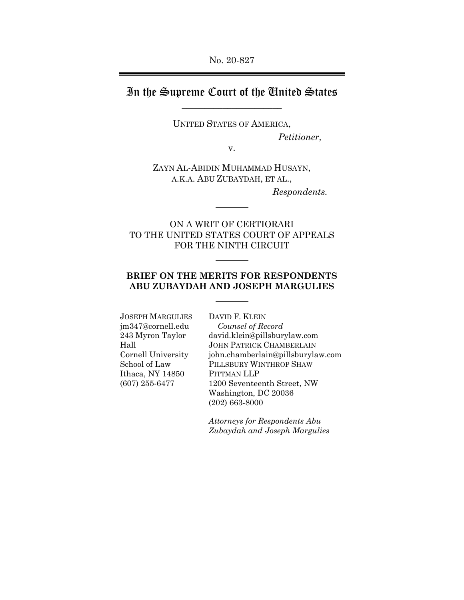## In the Supreme Court of the United States  $\overline{\phantom{a}}$  , where  $\overline{\phantom{a}}$

UNITED STATES OF AMERICA,

*Petitioner,*

v.

ZAYN AL-ABIDIN MUHAMMAD HUSAYN, A.K.A. ABU ZUBAYDAH, ET AL.,

*Respondents.*

ON A WRIT OF CERTIORARI TO THE UNITED STATES COURT OF APPEALS FOR THE NINTH CIRCUIT

## **BRIEF ON THE MERITS FOR RESPONDENTS ABU ZUBAYDAH AND JOSEPH MARGULIES**

JOSEPH MARGULIES jm347@cornell.edu 243 Myron Taylor Hall Cornell University School of Law Ithaca, NY 14850 (607) 255-6477

DAVID F. KLEIN *Counsel of Record*  david.klein@pillsburylaw.com JOHN PATRICK CHAMBERLAIN john.chamberlain@pillsburylaw.com PILLSBURY WINTHROP SHAW PITTMAN LLP 1200 Seventeenth Street, NW Washington, DC 20036 (202) 663-8000

*Attorneys for Respondents Abu Zubaydah and Joseph Margulies*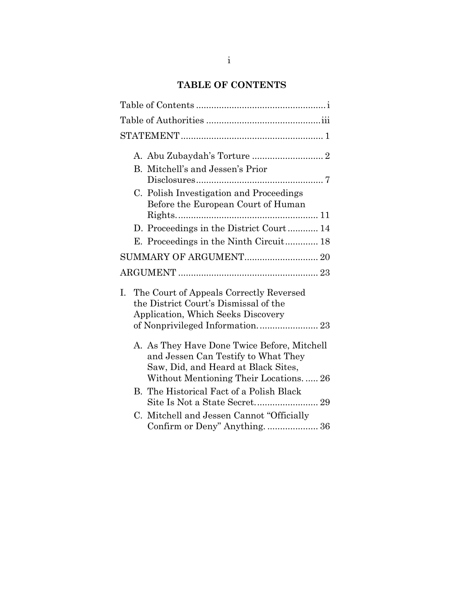# **TABLE OF CONTENTS**

|    | B. Mitchell's and Jessen's Prior                                                                                                                                   |
|----|--------------------------------------------------------------------------------------------------------------------------------------------------------------------|
|    | C. Polish Investigation and Proceedings<br>Before the European Court of Human                                                                                      |
|    | D. Proceedings in the District Court 14                                                                                                                            |
|    | E. Proceedings in the Ninth Circuit 18                                                                                                                             |
|    | SUMMARY OF ARGUMENT 20                                                                                                                                             |
|    |                                                                                                                                                                    |
| I. | The Court of Appeals Correctly Reversed<br>the District Court's Dismissal of the<br><b>Application, Which Seeks Discovery</b><br>of Nonprivileged Information 23   |
|    | A. As They Have Done Twice Before, Mitchell<br>and Jessen Can Testify to What They<br>Saw, Did, and Heard at Black Sites,<br>Without Mentioning Their Locations 26 |
|    | B. The Historical Fact of a Polish Black                                                                                                                           |
|    | C. Mitchell and Jessen Cannot "Officially                                                                                                                          |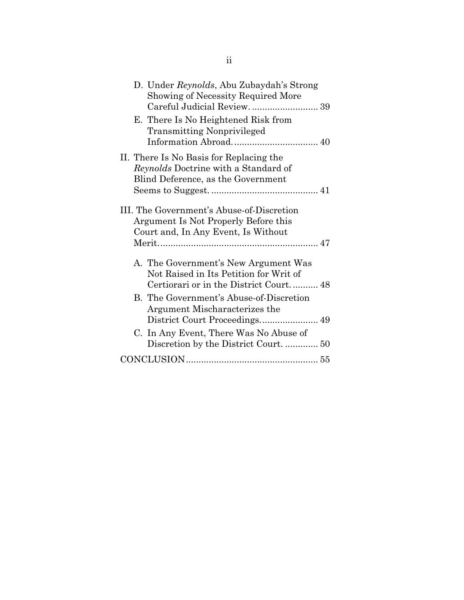| D. Under Reynolds, Abu Zubaydah's Strong<br>Showing of Necessity Required More<br>Careful Judicial Review 39             |  |
|--------------------------------------------------------------------------------------------------------------------------|--|
| E. There Is No Heightened Risk from<br><b>Transmitting Nonprivileged</b>                                                 |  |
| II. There Is No Basis for Replacing the<br>Reynolds Doctrine with a Standard of<br>Blind Deference, as the Government    |  |
| III. The Government's Abuse-of-Discretion<br>Argument Is Not Properly Before this<br>Court and, In Any Event, Is Without |  |
| A. The Government's New Argument Was<br>Not Raised in Its Petition for Writ of<br>Certiorari or in the District Court 48 |  |
| B. The Government's Abuse-of-Discretion<br>Argument Mischaracterizes the                                                 |  |
| C. In Any Event, There Was No Abuse of                                                                                   |  |
|                                                                                                                          |  |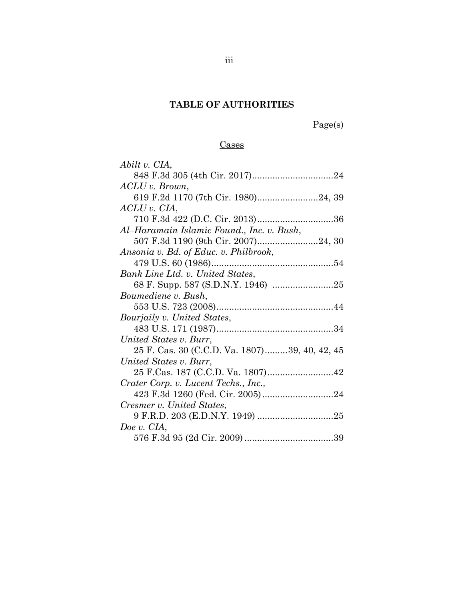## **TABLE OF AUTHORITIES**

Page(s)

## Cases

| Abilt v. CIA,                                 |
|-----------------------------------------------|
|                                               |
| $ACLU$ v. Brown,                              |
| 619 F.2d 1170 (7th Cir. 1980)24, 39           |
| $ACLU$ v. $CIA$ ,                             |
|                                               |
| Al-Haramain Islamic Found., Inc. v. Bush,     |
|                                               |
| Ansonia v. Bd. of Educ. v. Philbrook,         |
|                                               |
| Bank Line Ltd. v. United States,              |
|                                               |
| Boumediene v. Bush,                           |
|                                               |
| Bourjaily v. United States,                   |
|                                               |
| United States v. Burr,                        |
| 25 F. Cas. 30 (C.C.D. Va. 1807)39, 40, 42, 45 |
| United States v. Burr,                        |
|                                               |
| Crater Corp. v. Lucent Techs., Inc.,          |
|                                               |
| Cresmer v. United States,                     |
|                                               |
| Doe v. CIA,                                   |
|                                               |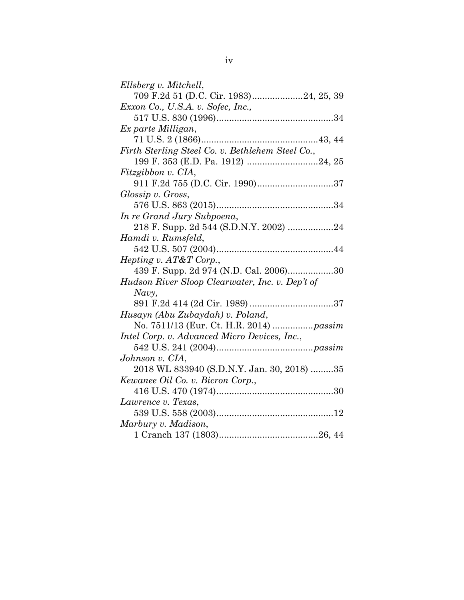| Ellsberg v. Mitchell,                            |
|--------------------------------------------------|
| 709 F.2d 51 (D.C. Cir. 1983)24, 25, 39           |
| Exxon Co., U.S.A. v. Sofec, Inc.,                |
|                                                  |
| Ex parte Milligan,                               |
|                                                  |
| Firth Sterling Steel Co. v. Bethlehem Steel Co., |
|                                                  |
| Fitzgibbon v. CIA,                               |
| 911 F.2d 755 (D.C. Cir. 1990)37                  |
| Glossip v. Gross,                                |
|                                                  |
| In re Grand Jury Subpoena,                       |
| 218 F. Supp. 2d 544 (S.D.N.Y. 2002) 24           |
| Hamdi v. Rumsfeld,                               |
|                                                  |
| <i>Hepting v. AT&amp;T Corp.,</i>                |
| 439 F. Supp. 2d 974 (N.D. Cal. 2006)30           |
| Hudson River Sloop Clearwater, Inc. v. Dep't of  |
| Navy,                                            |
|                                                  |
| Husayn (Abu Zubaydah) v. Poland,                 |
| No. 7511/13 (Eur. Ct. H.R. 2014)  passim         |
| Intel Corp. v. Advanced Micro Devices, Inc.,     |
|                                                  |
| Johnson v. CIA,                                  |
| 2018 WL 833940 (S.D.N.Y. Jan. 30, 2018) 35       |
| Kewanee Oil Co. v. Bicron Corp.,                 |
|                                                  |
| Lawrence v. Texas,                               |
|                                                  |
| Marbury v. Madison,                              |
|                                                  |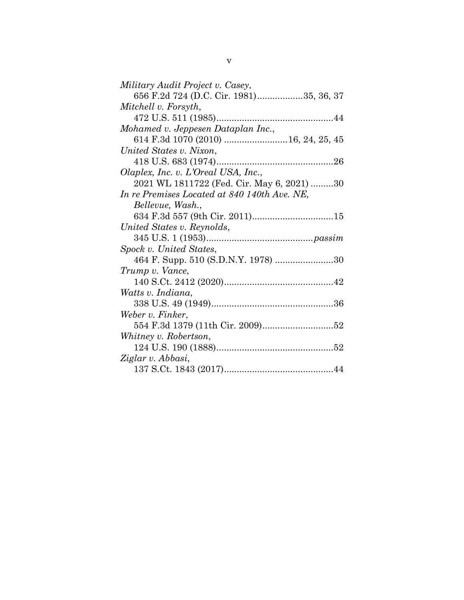| Military Audit Project v. Casey,             |
|----------------------------------------------|
| 656 F.2d 724 (D.C. Cir. 1981)35, 36, 37      |
| Mitchell v. Forsyth,                         |
|                                              |
| Mohamed v. Jeppesen Dataplan Inc.,           |
|                                              |
| United States v. Nixon,                      |
|                                              |
| Olaplex, Inc. v. L'Oreal USA, Inc.,          |
| 2021 WL 1811722 (Fed. Cir. May 6, 2021) 30   |
| In re Premises Located at 840 140th Ave. NE, |
| Bellevue, Wash.,                             |
| 634 F.3d 557 (9th Cir. 2011)15               |
| United States v. Reynolds,                   |
|                                              |
| Spock v. United States,                      |
|                                              |
| Trump v. Vance,                              |
|                                              |
| Watts v. Indiana,                            |
|                                              |
| Weber v. Finker,                             |
|                                              |
| Whitney v. Robertson,                        |
|                                              |
| Ziglar v. Abbasi,                            |
|                                              |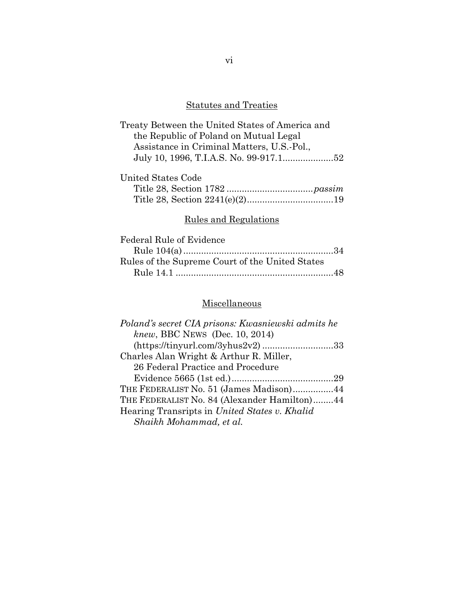# Statutes and Treaties

| Treaty Between the United States of America and |  |
|-------------------------------------------------|--|
| the Republic of Poland on Mutual Legal          |  |
| Assistance in Criminal Matters, U.S.-Pol.,      |  |
|                                                 |  |

| United States Code |  |
|--------------------|--|
|                    |  |
|                    |  |

# Rules and Regulations

| Federal Rule of Evidence                        |  |
|-------------------------------------------------|--|
|                                                 |  |
| Rules of the Supreme Court of the United States |  |
|                                                 |  |

# Miscellaneous

| Poland's secret CIA prisons: Kwasniewski admits he |
|----------------------------------------------------|
| knew, BBC NEWS (Dec. 10, 2014)                     |
|                                                    |
| Charles Alan Wright & Arthur R. Miller,            |
| 26 Federal Practice and Procedure                  |
|                                                    |
| THE FEDERALIST No. 51 (James Madison)44            |
| THE FEDERALIST No. 84 (Alexander Hamilton)44       |
| Hearing Transripts in United States v. Khalid      |
| Shaikh Mohammad, et al.                            |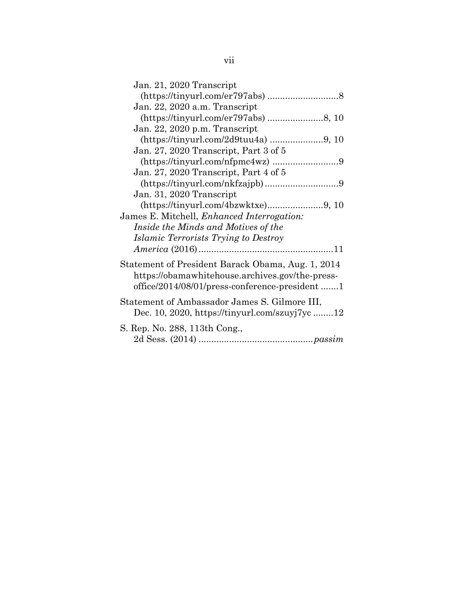| Jan. 21, 2020 Transcript                                                                                                                              |
|-------------------------------------------------------------------------------------------------------------------------------------------------------|
|                                                                                                                                                       |
| Jan. 22, 2020 a.m. Transcript                                                                                                                         |
|                                                                                                                                                       |
| Jan. 22, 2020 p.m. Transcript                                                                                                                         |
|                                                                                                                                                       |
| Jan. 27, 2020 Transcript, Part 3 of 5                                                                                                                 |
|                                                                                                                                                       |
| Jan. 27, 2020 Transcript, Part 4 of 5                                                                                                                 |
|                                                                                                                                                       |
| Jan. 31, 2020 Transcript                                                                                                                              |
| $(https://tinyurl.com/4bzwktxe)9, 10$                                                                                                                 |
| James E. Mitchell, <i>Enhanced Interrogation</i> :                                                                                                    |
| Inside the Minds and Motives of the                                                                                                                   |
| Islamic Terrorists Trying to Destroy                                                                                                                  |
|                                                                                                                                                       |
| Statement of President Barack Obama, Aug. 1, 2014<br>https://obamawhitehouse.archives.gov/the-press-<br>office/2014/08/01/press-conference-president1 |
| Statement of Ambassador James S. Gilmore III,<br>Dec. 10, 2020, https://tinyurl.com/szuyj7yc12                                                        |
| S. Rep. No. 288, 113th Cong.,                                                                                                                         |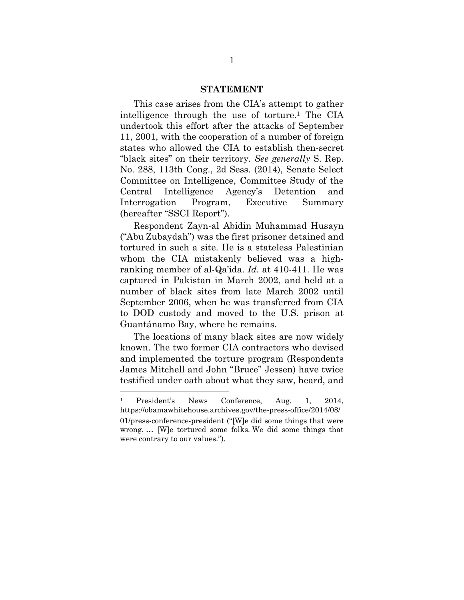#### **STATEMENT**

<span id="page-8-0"></span>This case arises from the CIA's attempt to gather intelligence through the use of torture. <sup>1</sup> The CIA undertook this effort after the attacks of September 11, 2001, with the cooperation of a number of foreign states who allowed the CIA to establish then-secret "black sites" on their territory. *See generally* S. Rep. No. 288, 113th Cong., 2d Sess. (2014), Senate Select Committee on Intelligence, Committee Study of the Central Intelligence Agency's Detention and Interrogation Program, Executive Summary (hereafter "SSCI Report").

Respondent Zayn-al Abidin Muhammad Husayn ("Abu Zubaydah") was the first prisoner detained and tortured in such a site. He is a stateless Palestinian whom the CIA mistakenly believed was a highranking member of al-Qa'ida. *Id.* at 410-411. He was captured in Pakistan in March 2002, and held at a number of black sites from late March 2002 until September 2006, when he was transferred from CIA to DOD custody and moved to the U.S. prison at Guantánamo Bay, where he remains.

The locations of many black sites are now widely known. The two former CIA contractors who devised and implemented the torture program (Respondents James Mitchell and John "Bruce" Jessen) have twice testified under oath about what they saw, heard, and

<sup>1</sup> President's News Conference, Aug. 1, 2014, https://obamawhitehouse.archives.gov/the-press-office/2014/08/ 01/press-conference-president ("[W]e did some things that were wrong. … [W]e tortured some folks. We did some things that were contrary to our values.").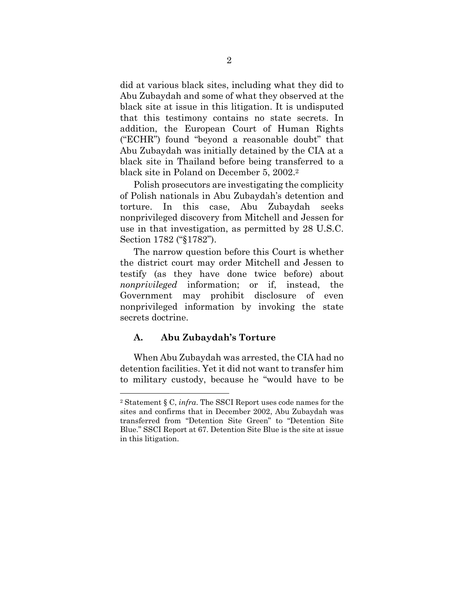did at various black sites, including what they did to Abu Zubaydah and some of what they observed at the black site at issue in this litigation. It is undisputed that this testimony contains no state secrets. In addition, the European Court of Human Rights ("ECHR") found "beyond a reasonable doubt" that Abu Zubaydah was initially detained by the CIA at a black site in Thailand before being transferred to a black site in Poland on December 5, 2002. 2

Polish prosecutors are investigating the complicity of Polish nationals in Abu Zubaydah's detention and torture. In this case, Abu Zubaydah seeks nonprivileged discovery from Mitchell and Jessen for use in that investigation, as permitted by 28 U.S.C. Section 1782 ("§1782").

The narrow question before this Court is whether the district court may order Mitchell and Jessen to testify (as they have done twice before) about *nonprivileged* information; or if, instead, the Government may prohibit disclosure of even nonprivileged information by invoking the state secrets doctrine.

### <span id="page-9-0"></span>**A. Abu Zubaydah's Torture**

When Abu Zubaydah was arrested, the CIA had no detention facilities. Yet it did not want to transfer him to military custody, because he "would have to be

<sup>2</sup> Statement § C, *infra*. The SSCI Report uses code names for the sites and confirms that in December 2002, Abu Zubaydah was transferred from "Detention Site Green" to "Detention Site Blue." SSCI Report at 67. Detention Site Blue is the site at issue in this litigation.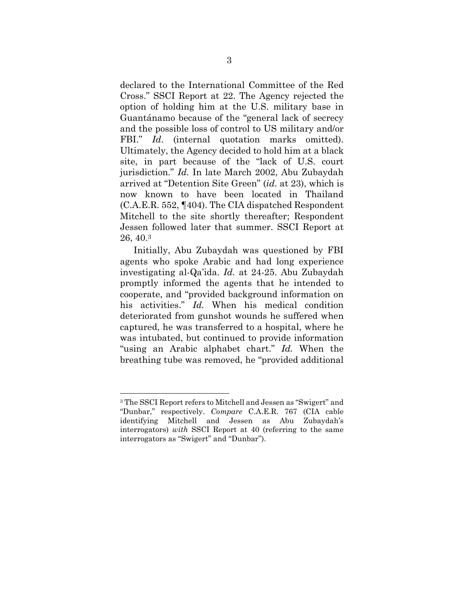declared to the International Committee of the Red Cross." SSCI Report at 22. The Agency rejected the option of holding him at the U.S. military base in Guantánamo because of the "general lack of secrecy and the possible loss of control to US military and/or FBI." *Id.* (internal quotation marks omitted). Ultimately, the Agency decided to hold him at a black site, in part because of the "lack of U.S. court jurisdiction." *Id.* In late March 2002, Abu Zubaydah arrived at "Detention Site Green" (*id.* at 23), which is now known to have been located in Thailand (C.A.E.R. 552, ¶404). The CIA dispatched Respondent Mitchell to the site shortly thereafter; Respondent Jessen followed later that summer. SSCI Report at 26, 40.<sup>3</sup>

Initially, Abu Zubaydah was questioned by FBI agents who spoke Arabic and had long experience investigating al-Qa'ida. *Id.* at 24-25. Abu Zubaydah promptly informed the agents that he intended to cooperate, and "provided background information on his activities." *Id.* When his medical condition deteriorated from gunshot wounds he suffered when captured, he was transferred to a hospital, where he was intubated, but continued to provide information "using an Arabic alphabet chart." *Id.* When the breathing tube was removed, he "provided additional

<sup>3</sup> The SSCI Report refers to Mitchell and Jessen as "Swigert" and "Dunbar," respectively. *Compare* C.A.E.R. 767 (CIA cable identifying Mitchell and Jessen as Abu Zubaydah's interrogators) *with* SSCI Report at 40 (referring to the same interrogators as "Swigert" and "Dunbar").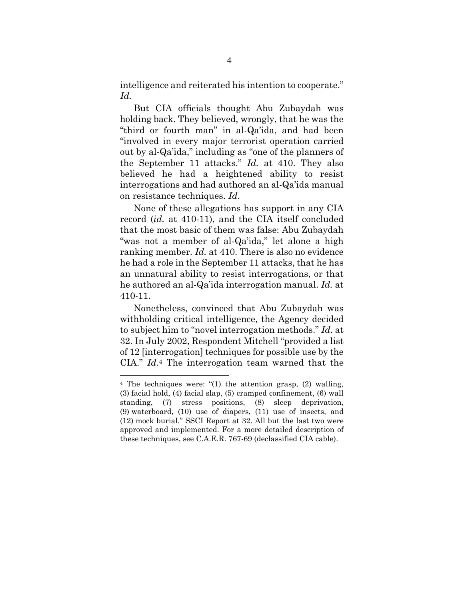intelligence and reiterated his intention to cooperate." *Id.*

But CIA officials thought Abu Zubaydah was holding back. They believed, wrongly, that he was the "third or fourth man" in al-Qa'ida, and had been "involved in every major terrorist operation carried out by al-Qa'ida," including as "one of the planners of the September 11 attacks." *Id.* at 410. They also believed he had a heightened ability to resist interrogations and had authored an al-Qa'ida manual on resistance techniques. *Id*.

None of these allegations has support in any CIA record (*id.* at 410-11), and the CIA itself concluded that the most basic of them was false: Abu Zubaydah "was not a member of al-Qa'ida," let alone a high ranking member. *Id.* at 410. There is also no evidence he had a role in the September 11 attacks, that he has an unnatural ability to resist interrogations, or that he authored an al-Qa'ida interrogation manual. *Id.* at 410-11.

Nonetheless, convinced that Abu Zubaydah was withholding critical intelligence, the Agency decided to subject him to "novel interrogation methods." *Id*. at 32. In July 2002, Respondent Mitchell "provided a list of 12 [interrogation] techniques for possible use by the CIA." *Id.*<sup>4</sup> The interrogation team warned that the

<sup>4</sup> The techniques were: "(1) the attention grasp, (2) walling, (3) facial hold, (4) facial slap, (5) cramped confinement, (6) wall standing, (7) stress positions, (8) sleep deprivation, (9) waterboard, (10) use of diapers, (11) use of insects, and (12) mock burial." SSCI Report at 32. All but the last two were approved and implemented. For a more detailed description of these techniques, see C.A.E.R. 767-69 (declassified CIA cable).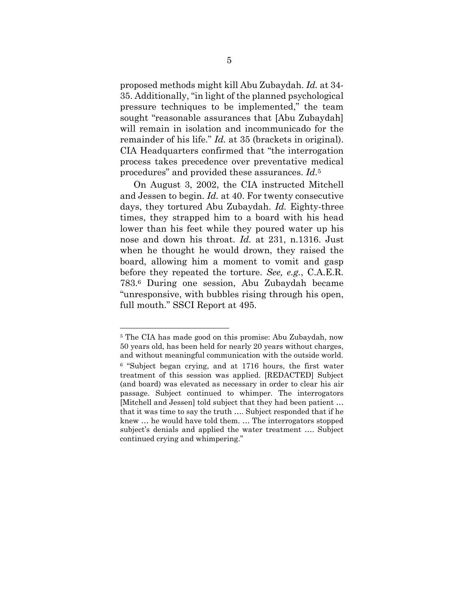proposed methods might kill Abu Zubaydah. *Id.* at 34- 35. Additionally, "in light of the planned psychological pressure techniques to be implemented," the team sought "reasonable assurances that [Abu Zubaydah] will remain in isolation and incommunicado for the remainder of his life." *Id.* at 35 (brackets in original). CIA Headquarters confirmed that "the interrogation process takes precedence over preventative medical procedures" and provided these assurances. *Id.*<sup>5</sup>

On August 3, 2002, the CIA instructed Mitchell and Jessen to begin. *Id.* at 40. For twenty consecutive days, they tortured Abu Zubaydah. *Id.* Eighty-three times, they strapped him to a board with his head lower than his feet while they poured water up his nose and down his throat. *Id.* at 231, n.1316. Just when he thought he would drown, they raised the board, allowing him a moment to vomit and gasp before they repeated the torture. *See, e.g.*, C.A.E.R. 783.<sup>6</sup> During one session, Abu Zubaydah became "unresponsive, with bubbles rising through his open, full mouth." SSCI Report at 495.

<sup>5</sup> The CIA has made good on this promise: Abu Zubaydah, now 50 years old, has been held for nearly 20 years without charges, and without meaningful communication with the outside world.

<sup>6</sup> "Subject began crying, and at 1716 hours, the first water treatment of this session was applied. [REDACTED] Subject (and board) was elevated as necessary in order to clear his air passage. Subject continued to whimper. The interrogators [Mitchell and Jessen] told subject that they had been patient … that it was time to say the truth …. Subject responded that if he knew … he would have told them. … The interrogators stopped subject's denials and applied the water treatment …. Subject continued crying and whimpering."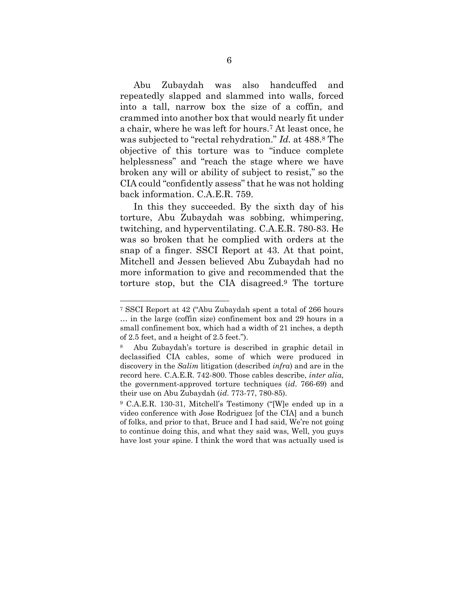Abu Zubaydah was also handcuffed and repeatedly slapped and slammed into walls, forced into a tall, narrow box the size of a coffin, and crammed into another box that would nearly fit under a chair, where he was left for hours.<sup>7</sup> At least once, he was subjected to "rectal rehydration." *Id.* at 488.<sup>8</sup> The objective of this torture was to "induce complete helplessness" and "reach the stage where we have broken any will or ability of subject to resist," so the CIA could "confidently assess" that he was not holding back information. C.A.E.R. 759.

In this they succeeded. By the sixth day of his torture, Abu Zubaydah was sobbing, whimpering, twitching, and hyperventilating. C.A.E.R. 780-83. He was so broken that he complied with orders at the snap of a finger. SSCI Report at 43. At that point, Mitchell and Jessen believed Abu Zubaydah had no more information to give and recommended that the torture stop, but the CIA disagreed. <sup>9</sup> The torture

<sup>7</sup> SSCI Report at 42 ("Abu Zubaydah spent a total of 266 hours … in the large (coffin size) confinement box and 29 hours in a small confinement box, which had a width of 21 inches, a depth of 2.5 feet, and a height of 2.5 feet.").

<sup>8</sup> Abu Zubaydah's torture is described in graphic detail in declassified CIA cables, some of which were produced in discovery in the *Salim* litigation (described *infra*) and are in the record here. C.A.E.R. 742-800. Those cables describe, *inter alia*, the government-approved torture techniques (*id*. 766-69) and their use on Abu Zubaydah (*id*. 773-77, 780-85).

<sup>9</sup> C.A.E.R. 130-31, Mitchell's Testimony ("[W]e ended up in a video conference with Jose Rodriguez [of the CIA] and a bunch of folks, and prior to that, Bruce and I had said, We're not going to continue doing this, and what they said was, Well, you guys have lost your spine. I think the word that was actually used is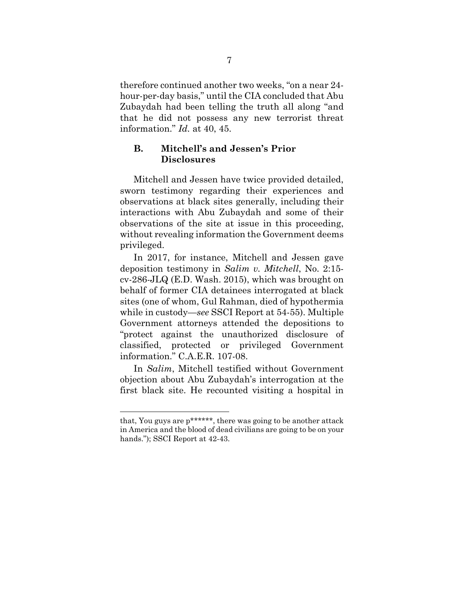therefore continued another two weeks, "on a near 24 hour-per-day basis," until the CIA concluded that Abu Zubaydah had been telling the truth all along "and that he did not possess any new terrorist threat information." *Id.* at 40, 45.

### <span id="page-14-0"></span>**B. Mitchell's and Jessen's Prior Disclosures**

Mitchell and Jessen have twice provided detailed, sworn testimony regarding their experiences and observations at black sites generally, including their interactions with Abu Zubaydah and some of their observations of the site at issue in this proceeding, without revealing information the Government deems privileged.

In 2017, for instance, Mitchell and Jessen gave deposition testimony in *Salim v. Mitchell*, No. 2:15 cv-286-JLQ (E.D. Wash. 2015), which was brought on behalf of former CIA detainees interrogated at black sites (one of whom, Gul Rahman, died of hypothermia while in custody—*see* SSCI Report at 54-55). Multiple Government attorneys attended the depositions to "protect against the unauthorized disclosure of classified, protected or privileged Government information." C.A.E.R. 107-08.

In *Salim*, Mitchell testified without Government objection about Abu Zubaydah's interrogation at the first black site. He recounted visiting a hospital in

that, You guys are p\*\*\*\*\*\*, there was going to be another attack in America and the blood of dead civilians are going to be on your hands."); SSCI Report at  $42-43$ .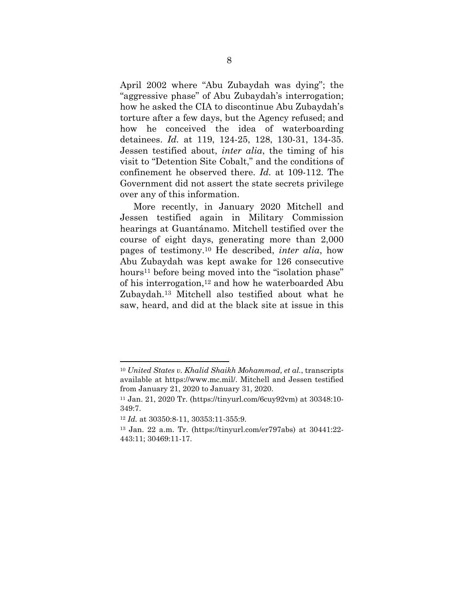April 2002 where "Abu Zubaydah was dying"; the "aggressive phase" of Abu Zubaydah's interrogation; how he asked the CIA to discontinue Abu Zubaydah's torture after a few days, but the Agency refused; and how he conceived the idea of waterboarding detainees. *Id.* at 119, 124-25, 128, 130-31, 134-35. Jessen testified about, *inter alia*, the timing of his visit to "Detention Site Cobalt," and the conditions of confinement he observed there. *Id.* at 109-112. The Government did not assert the state secrets privilege over any of this information.

More recently, in January 2020 Mitchell and Jessen testified again in Military Commission hearings at Guantánamo. Mitchell testified over the course of eight days, generating more than 2,000 pages of testimony.<sup>10</sup> He described, *inter alia*, how Abu Zubaydah was kept awake for 126 consecutive hours<sup>11</sup> before being moved into the "isolation phase" of his interrogation, <sup>12</sup> and how he waterboarded Abu Zubaydah.<sup>13</sup> Mitchell also testified about what he saw, heard, and did at the black site at issue in this

<sup>10</sup> *United States v. Khalid Shaikh Mohammad, et al.*, transcripts available at https://www.mc.mil/. Mitchell and Jessen testified from January 21, 2020 to January 31, 2020.

<sup>11</sup> Jan. 21, 2020 Tr. (https://tinyurl.com/6cuy92vm) at 30348:10- 349:7.

<sup>12</sup> *Id.* at 30350:8-11, 30353:11-355:9.

<sup>13</sup> Jan. 22 a.m. Tr. (https://tinyurl.com/er797abs) at 30441:22- 443:11; 30469:11-17.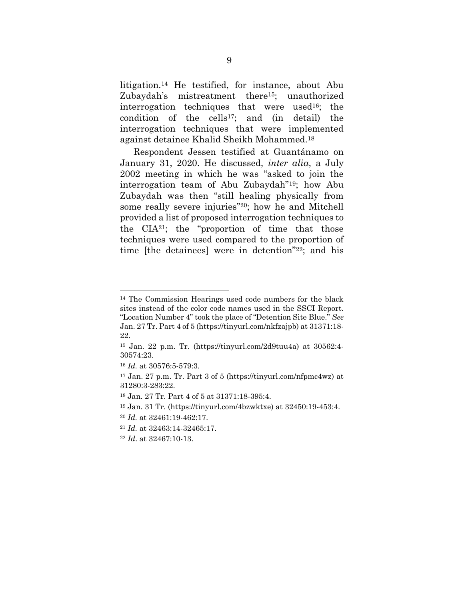litigation. <sup>14</sup> He testified, for instance, about Abu Zubaydah's mistreatment there15; unauthorized interrogation techniques that were used16; the condition of the cells17; and (in detail) the interrogation techniques that were implemented against detainee Khalid Sheikh Mohammed.<sup>18</sup>

Respondent Jessen testified at Guantánamo on January 31, 2020. He discussed, *inter alia*, a July 2002 meeting in which he was "asked to join the interrogation team of Abu Zubaydah"19; how Abu Zubaydah was then "still healing physically from some really severe injuries" <sup>20</sup>; how he and Mitchell provided a list of proposed interrogation techniques to the CIA21; the "proportion of time that those techniques were used compared to the proportion of time [the detainees] were in detention"22; and his

<sup>14</sup> The Commission Hearings used code numbers for the black sites instead of the color code names used in the SSCI Report. "Location Number 4" took the place of "Detention Site Blue." *See*  Jan. 27 Tr. Part 4 of 5 (https://tinyurl.com/nkfzajpb) at 31371:18- 22.

<sup>15</sup> Jan. 22 p.m. Tr. (https://tinyurl.com/2d9tuu4a) at 30562:4- 30574:23.

<sup>16</sup> *Id.* at 30576:5-579:3.

<sup>&</sup>lt;sup>17</sup> Jan. 27 p.m. Tr. Part 3 of 5 (https://tinyurl.com/nfpmc4wz) at 31280:3-283:22.

<sup>18</sup> Jan. 27 Tr. Part 4 of 5 at 31371:18-395:4.

<sup>19</sup> Jan. 31 Tr. (https://tinyurl.com/4bzwktxe) at 32450:19-453:4.

<sup>20</sup> *Id.* at 32461:19-462:17.

<sup>21</sup> *Id.* at 32463:14-32465:17.

<sup>22</sup> *Id*. at 32467:10-13.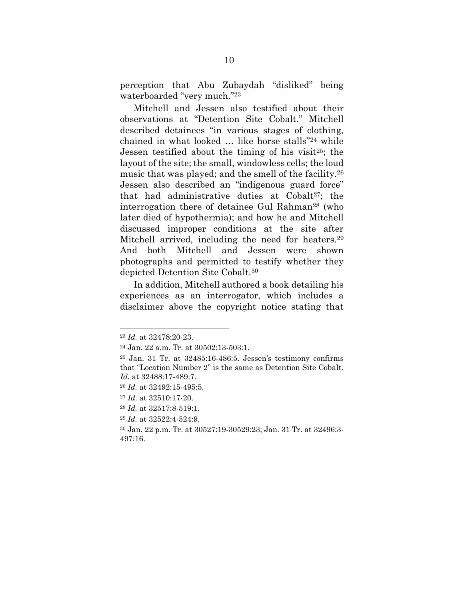perception that Abu Zubaydah "disliked" being waterboarded "very much."<sup>23</sup>

Mitchell and Jessen also testified about their observations at "Detention Site Cobalt." Mitchell described detainees "in various stages of clothing, chained in what looked … like horse stalls"<sup>24</sup> while Jessen testified about the timing of his visit<sup>25</sup>; the layout of the site; the small, windowless cells; the loud music that was played; and the smell of the facility. 26 Jessen also described an "indigenous guard force" that had administrative duties at Cobalt27; the interrogation there of detainee Gul Rahman<sup>28</sup> (who later died of hypothermia); and how he and Mitchell discussed improper conditions at the site after Mitchell arrived, including the need for heaters.<sup>29</sup> And both Mitchell and Jessen were shown photographs and permitted to testify whether they depicted Detention Site Cobalt.<sup>30</sup>

In addition, Mitchell authored a book detailing his experiences as an interrogator, which includes a disclaimer above the copyright notice stating that

<sup>23</sup> *Id.* at 32478:20-23.

<sup>24</sup> Jan. 22 a.m. Tr. at 30502:13-503:1.

<sup>25</sup> Jan. 31 Tr. at 32485:16-486:5. Jessen's testimony confirms that "Location Number 2" is the same as Detention Site Cobalt. *Id.* at 32488:17-489:7.

<sup>26</sup> *Id.* at 32492:15-495:5.

<sup>27</sup> *Id.* at 32510:17-20.

<sup>28</sup> *Id.* at 32517:8-519:1.

<sup>29</sup> *Id.* at 32522:4-524:9.

<sup>30</sup> Jan. 22 p.m. Tr. at 30527:19-30529:23; Jan. 31 Tr. at 32496:3- 497:16.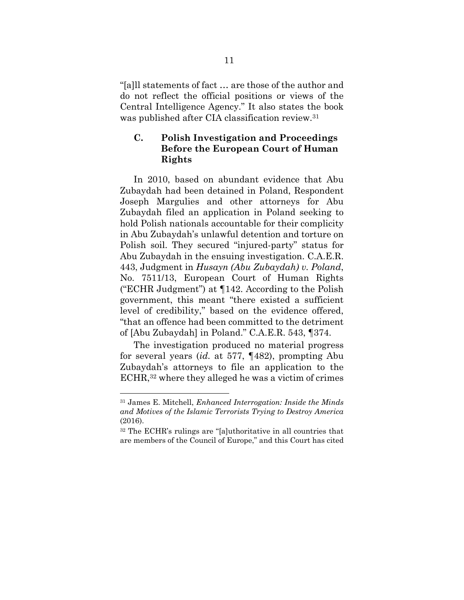"[a]ll statements of fact … are those of the author and do not reflect the official positions or views of the Central Intelligence Agency." It also states the book was published after CIA classification review.<sup>31</sup>

## <span id="page-18-0"></span>**C. Polish Investigation and Proceedings Before the European Court of Human Rights**

In 2010, based on abundant evidence that Abu Zubaydah had been detained in Poland, Respondent Joseph Margulies and other attorneys for Abu Zubaydah filed an application in Poland seeking to hold Polish nationals accountable for their complicity in Abu Zubaydah's unlawful detention and torture on Polish soil. They secured "injured-party" status for Abu Zubaydah in the ensuing investigation. C.A.E.R. 443, Judgment in *Husayn (Abu Zubaydah) v. Poland*, No. 7511/13, European Court of Human Rights ("ECHR Judgment") at ¶142. According to the Polish government, this meant "there existed a sufficient level of credibility," based on the evidence offered, "that an offence had been committed to the detriment of [Abu Zubaydah] in Poland." C.A.E.R. 543, ¶374.

The investigation produced no material progress for several years (*id.* at 577, ¶482), prompting Abu Zubaydah's attorneys to file an application to the ECHR, <sup>32</sup> where they alleged he was a victim of crimes

<span id="page-18-1"></span><sup>31</sup> James E. Mitchell, *Enhanced Interrogation: Inside the Minds and Motives of the Islamic Terrorists Trying to Destroy America* (2016).

<sup>32</sup> The ECHR's rulings are "[a]uthoritative in all countries that are members of the Council of Europe," and this Court has cited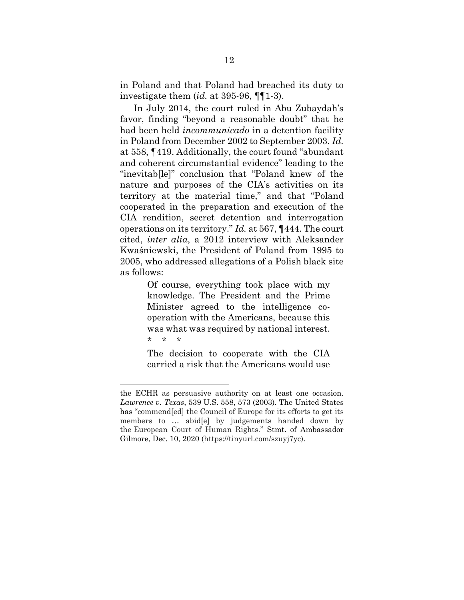in Poland and that Poland had breached its duty to investigate them (*id.* at 395-96, ¶¶1-3).

In July 2014, the court ruled in Abu Zubaydah's favor, finding "beyond a reasonable doubt" that he had been held *incommunicado* in a detention facility in Poland from December 2002 to September 2003. *Id.* at 558, ¶419. Additionally, the court found "abundant and coherent circumstantial evidence" leading to the "inevitab[le]" conclusion that "Poland knew of the nature and purposes of the CIA's activities on its territory at the material time," and that "Poland cooperated in the preparation and execution of the CIA rendition, secret detention and interrogation operations on its territory." *Id.* at 567, ¶444. The court cited, *inter alia*, a 2012 interview with Aleksander Kwaśniewski, the President of Poland from 1995 to 2005, who addressed allegations of a Polish black site as follows:

> Of course, everything took place with my knowledge. The President and the Prime Minister agreed to the intelligence cooperation with the Americans, because this was what was required by national interest. \* \* \*

> The decision to cooperate with the CIA carried a risk that the Americans would use

<span id="page-19-0"></span>the ECHR as persuasive authority on at least one occasion. *Lawrence v. Texas*, 539 U.S. 558, 573 (2003). The United States has "commend[ed] the Council of Europe for its efforts to get its members to … abid[e] by judgements handed down by the European Court of Human Rights*.*" Stmt. of Ambassador Gilmore, Dec. 10, 2020 (https://tinyurl.com/szuyj7yc).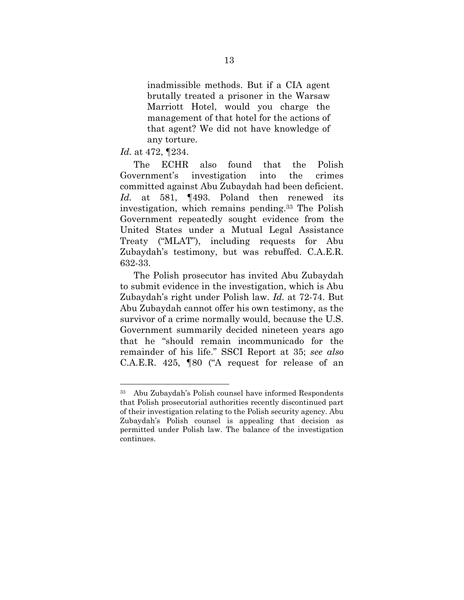inadmissible methods. But if a CIA agent brutally treated a prisoner in the Warsaw Marriott Hotel, would you charge the management of that hotel for the actions of that agent? We did not have knowledge of any torture.

*Id.* at 472, ¶234.

The ECHR also found that the Polish Government's investigation into the crimes committed against Abu Zubaydah had been deficient. *Id.* at 581, ¶493. Poland then renewed its investigation, which remains pending.<sup>33</sup> The Polish Government repeatedly sought evidence from the United States under a Mutual Legal Assistance Treaty ("MLAT"), including requests for Abu Zubaydah's testimony, but was rebuffed. C.A.E.R. 632-33.

The Polish prosecutor has invited Abu Zubaydah to submit evidence in the investigation, which is Abu Zubaydah's right under Polish law. *Id.* at 72-74. But Abu Zubaydah cannot offer his own testimony, as the survivor of a crime normally would, because the U.S. Government summarily decided nineteen years ago that he "should remain incommunicado for the remainder of his life." SSCI Report at 35; *see also*  C.A.E.R. 425, ¶80 ("A request for release of an

<sup>33</sup> Abu Zubaydah's Polish counsel have informed Respondents that Polish prosecutorial authorities recently discontinued part of their investigation relating to the Polish security agency. Abu Zubaydah's Polish counsel is appealing that decision as permitted under Polish law. The balance of the investigation continues.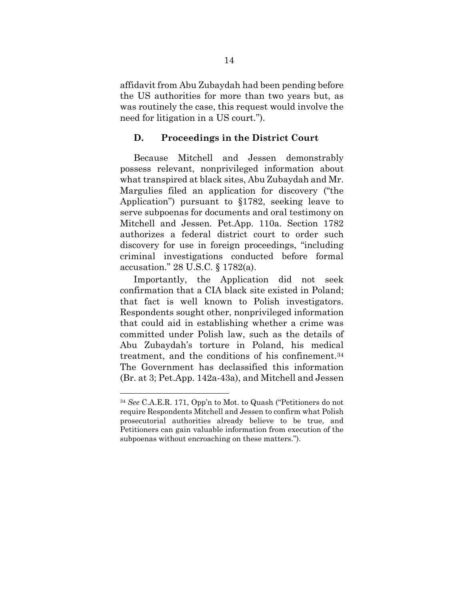affidavit from Abu Zubaydah had been pending before the US authorities for more than two years but, as was routinely the case, this request would involve the need for litigation in a US court.").

#### <span id="page-21-0"></span>**D. Proceedings in the District Court**

Because Mitchell and Jessen demonstrably possess relevant, nonprivileged information about what transpired at black sites, Abu Zubaydah and Mr. Margulies filed an application for discovery ("the Application") pursuant to §1782, seeking leave to serve subpoenas for documents and oral testimony on Mitchell and Jessen. Pet.App. 110a. Section 1782 authorizes a federal district court to order such discovery for use in foreign proceedings, "including criminal investigations conducted before formal accusation." 28 U.S.C. § 1782(a).

Importantly, the Application did not seek confirmation that a CIA black site existed in Poland; that fact is well known to Polish investigators. Respondents sought other, nonprivileged information that could aid in establishing whether a crime was committed under Polish law, such as the details of Abu Zubaydah's torture in Poland, his medical treatment, and the conditions of his confinement.<sup>34</sup> The Government has declassified this information (Br. at 3; Pet.App. 142a-43a), and Mitchell and Jessen

<sup>34</sup> *See* C.A.E.R. 171, Opp'n to Mot. to Quash ("Petitioners do not require Respondents Mitchell and Jessen to confirm what Polish prosecutorial authorities already believe to be true, and Petitioners can gain valuable information from execution of the subpoenas without encroaching on these matters.").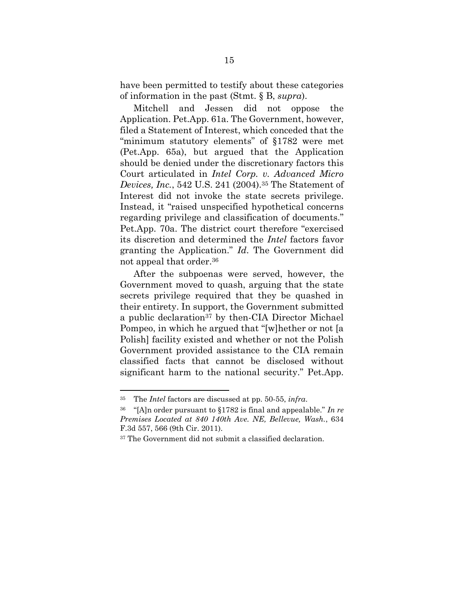have been permitted to testify about these categories of information in the past (Stmt. § B, *supra*).

<span id="page-22-0"></span>Mitchell and Jessen did not oppose the Application. Pet.App. 61a. The Government, however, filed a Statement of Interest, which conceded that the "minimum statutory elements" of §1782 were met (Pet.App. 65a), but argued that the Application should be denied under the discretionary factors this Court articulated in *Intel Corp. v. Advanced Micro Devices, Inc.*, 542 U.S. 241 (2004). <sup>35</sup> The Statement of Interest did not invoke the state secrets privilege. Instead, it "raised unspecified hypothetical concerns regarding privilege and classification of documents." Pet.App. 70a. The district court therefore "exercised its discretion and determined the *Intel* factors favor granting the Application." *Id*. The Government did not appeal that order.<sup>36</sup>

After the subpoenas were served, however, the Government moved to quash, arguing that the state secrets privilege required that they be quashed in their entirety. In support, the Government submitted a public declaration<sup>37</sup> by then-CIA Director Michael Pompeo, in which he argued that "[w]hether or not [a Polish] facility existed and whether or not the Polish Government provided assistance to the CIA remain classified facts that cannot be disclosed without significant harm to the national security." Pet.App.

<sup>35</sup> The *Intel* factors are discussed at pp. 50-55, *infra*.

<span id="page-22-1"></span><sup>36</sup> "[A]n order pursuant to §1782 is final and appealable." *In re Premises Located at 840 140th Ave. NE, Bellevue, Wash.*, 634 F.3d 557, 566 (9th Cir. 2011).

<sup>37</sup> The Government did not submit a classified declaration.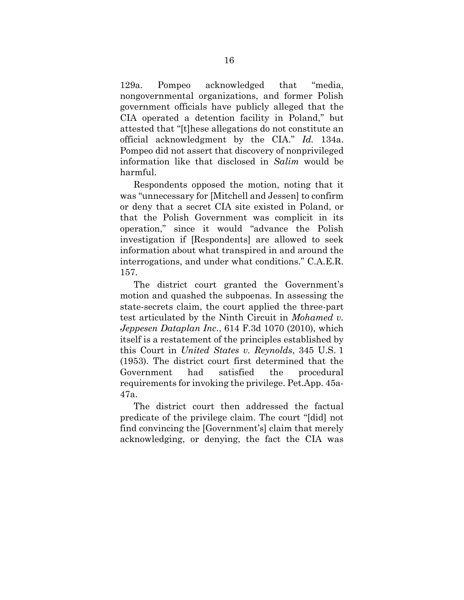129a. Pompeo acknowledged that "media, nongovernmental organizations, and former Polish government officials have publicly alleged that the CIA operated a detention facility in Poland," but attested that "[t]hese allegations do not constitute an official acknowledgment by the CIA." *Id.* 134a. Pompeo did not assert that discovery of nonprivileged information like that disclosed in *Salim* would be harmful.

Respondents opposed the motion, noting that it was "unnecessary for [Mitchell and Jessen] to confirm or deny that a secret CIA site existed in Poland, or that the Polish Government was complicit in its operation," since it would "advance the Polish investigation if [Respondents] are allowed to seek information about what transpired in and around the interrogations, and under what conditions." C.A.E.R. 157.

<span id="page-23-0"></span>The district court granted the Government's motion and quashed the subpoenas. In assessing the state-secrets claim, the court applied the three-part test articulated by the Ninth Circuit in *Mohamed v. Jeppesen Dataplan Inc.*, 614 F.3d 1070 (2010), which itself is a restatement of the principles established by this Court in *United States v. Reynolds*, 345 U.S. 1 (1953). The district court first determined that the Government had satisfied the procedural requirements for invoking the privilege. Pet.App. 45a-47a.

<span id="page-23-1"></span>The district court then addressed the factual predicate of the privilege claim. The court "[did] not find convincing the [Government's] claim that merely acknowledging, or denying, the fact the CIA was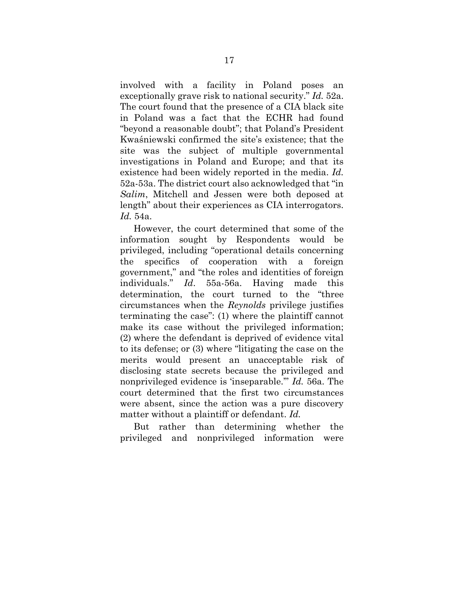involved with a facility in Poland poses an exceptionally grave risk to national security." *Id.* 52a. The court found that the presence of a CIA black site in Poland was a fact that the ECHR had found "beyond a reasonable doubt"; that Poland's President Kwaśniewski confirmed the site's existence; that the site was the subject of multiple governmental investigations in Poland and Europe; and that its existence had been widely reported in the media. *Id.*  52a-53a. The district court also acknowledged that "in *Salim*, Mitchell and Jessen were both deposed at length" about their experiences as CIA interrogators. *Id.* 54a.

However, the court determined that some of the information sought by Respondents would be privileged, including "operational details concerning the specifics of cooperation with a foreign government," and "the roles and identities of foreign individuals." *Id*. 55a-56a. Having made this determination, the court turned to the "three circumstances when the *Reynolds* privilege justifies terminating the case": (1) where the plaintiff cannot make its case without the privileged information; (2) where the defendant is deprived of evidence vital to its defense; or (3) where "litigating the case on the merits would present an unacceptable risk of disclosing state secrets because the privileged and nonprivileged evidence is 'inseparable.'" *Id.* 56a. The court determined that the first two circumstances were absent, since the action was a pure discovery matter without a plaintiff or defendant. *Id.*

But rather than determining whether the privileged and nonprivileged information were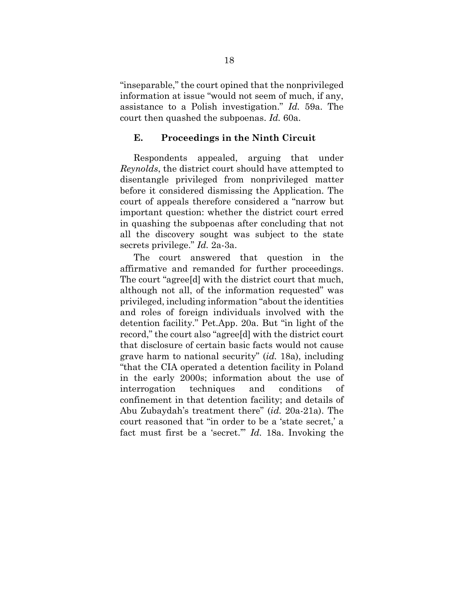"inseparable," the court opined that the nonprivileged information at issue "would not seem of much, if any, assistance to a Polish investigation." *Id.* 59a. The court then quashed the subpoenas. *Id.* 60a.

#### <span id="page-25-0"></span>**E. Proceedings in the Ninth Circuit**

Respondents appealed, arguing that under *Reynolds*, the district court should have attempted to disentangle privileged from nonprivileged matter before it considered dismissing the Application. The court of appeals therefore considered a "narrow but important question: whether the district court erred in quashing the subpoenas after concluding that not all the discovery sought was subject to the state secrets privilege." *Id.* 2a-3a.

The court answered that question in the affirmative and remanded for further proceedings. The court "agree[d] with the district court that much, although not all, of the information requested" was privileged, including information "about the identities and roles of foreign individuals involved with the detention facility." Pet.App. 20a. But "in light of the record," the court also "agree[d] with the district court that disclosure of certain basic facts would not cause grave harm to national security" (*id.* 18a), including "that the CIA operated a detention facility in Poland in the early 2000s; information about the use of interrogation techniques and conditions of confinement in that detention facility; and details of Abu Zubaydah's treatment there" (*id.* 20a-21a). The court reasoned that "in order to be a 'state secret,' a fact must first be a 'secret.'" *Id.* 18a. Invoking the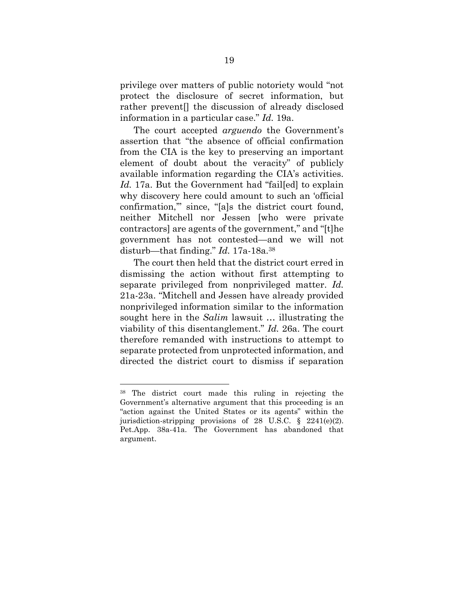privilege over matters of public notoriety would "not protect the disclosure of secret information, but rather prevent[] the discussion of already disclosed information in a particular case." *Id.* 19a.

The court accepted *arguendo* the Government's assertion that "the absence of official confirmation from the CIA is the key to preserving an important element of doubt about the veracity" of publicly available information regarding the CIA's activities. Id. 17a. But the Government had "failled to explain why discovery here could amount to such an 'official confirmation,'" since, "[a]s the district court found, neither Mitchell nor Jessen [who were private contractors] are agents of the government," and "[t]he government has not contested—and we will not disturb—that finding." *Id.* 17a-18a.<sup>38</sup>

The court then held that the district court erred in dismissing the action without first attempting to separate privileged from nonprivileged matter. *Id.* 21a-23a. "Mitchell and Jessen have already provided nonprivileged information similar to the information sought here in the *Salim* lawsuit … illustrating the viability of this disentanglement." *Id.* 26a. The court therefore remanded with instructions to attempt to separate protected from unprotected information, and directed the district court to dismiss if separation

<span id="page-26-0"></span><sup>38</sup> The district court made this ruling in rejecting the Government's alternative argument that this proceeding is an "action against the United States or its agents" within the jurisdiction-stripping provisions of 28 U.S.C. § 2241(e)(2). Pet.App. 38a-41a. The Government has abandoned that argument.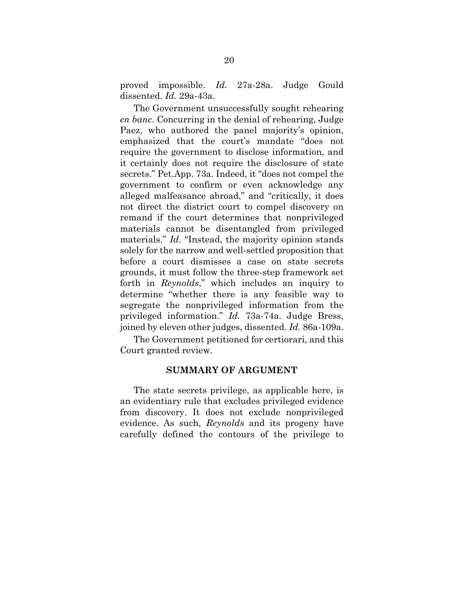proved impossible. *Id.* 27a-28a. Judge Gould dissented. *Id.* 29a-43a.

The Government unsuccessfully sought rehearing *en banc*. Concurring in the denial of rehearing, Judge Paez, who authored the panel majority's opinion, emphasized that the court's mandate "does not require the government to disclose information, and it certainly does not require the disclosure of state secrets." Pet.App. 73a. Indeed, it "does not compel the government to confirm or even acknowledge any alleged malfeasance abroad," and "critically, it does not direct the district court to compel discovery on remand if the court determines that nonprivileged materials cannot be disentangled from privileged materials." *Id*. "Instead, the majority opinion stands solely for the narrow and well-settled proposition that before a court dismisses a case on state secrets grounds, it must follow the three-step framework set forth in *Reynolds*," which includes an inquiry to determine "whether there is any feasible way to segregate the nonprivileged information from the privileged information." *Id.* 73a-74a. Judge Bress, joined by eleven other judges, dissented. *Id.* 86a-109a.

<span id="page-27-0"></span>The Government petitioned for certiorari, and this Court granted review.

#### **SUMMARY OF ARGUMENT**

The state secrets privilege, as applicable here, is an evidentiary rule that excludes privileged evidence from discovery. It does not exclude nonprivileged evidence. As such, *Reynolds* and its progeny have carefully defined the contours of the privilege to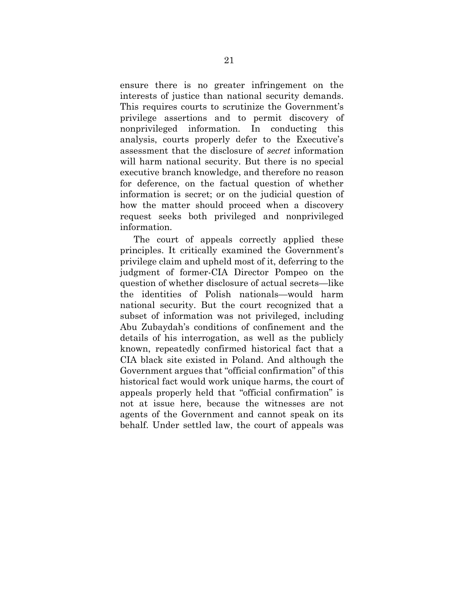ensure there is no greater infringement on the interests of justice than national security demands. This requires courts to scrutinize the Government's privilege assertions and to permit discovery of nonprivileged information. In conducting this analysis, courts properly defer to the Executive's assessment that the disclosure of *secret* information will harm national security. But there is no special executive branch knowledge, and therefore no reason for deference, on the factual question of whether information is secret; or on the judicial question of how the matter should proceed when a discovery request seeks both privileged and nonprivileged information.

The court of appeals correctly applied these principles. It critically examined the Government's privilege claim and upheld most of it, deferring to the judgment of former-CIA Director Pompeo on the question of whether disclosure of actual secrets—like the identities of Polish nationals—would harm national security. But the court recognized that a subset of information was not privileged, including Abu Zubaydah's conditions of confinement and the details of his interrogation, as well as the publicly known, repeatedly confirmed historical fact that a CIA black site existed in Poland. And although the Government argues that "official confirmation" of this historical fact would work unique harms, the court of appeals properly held that "official confirmation" is not at issue here, because the witnesses are not agents of the Government and cannot speak on its behalf. Under settled law, the court of appeals was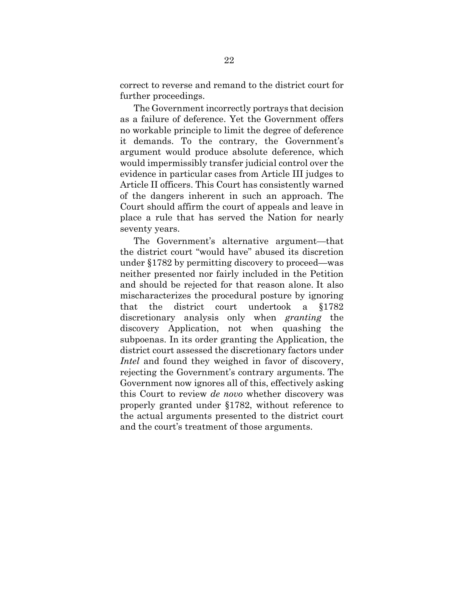correct to reverse and remand to the district court for further proceedings.

The Government incorrectly portrays that decision as a failure of deference. Yet the Government offers no workable principle to limit the degree of deference it demands. To the contrary, the Government's argument would produce absolute deference, which would impermissibly transfer judicial control over the evidence in particular cases from Article III judges to Article II officers. This Court has consistently warned of the dangers inherent in such an approach. The Court should affirm the court of appeals and leave in place a rule that has served the Nation for nearly seventy years.

The Government's alternative argument—that the district court "would have" abused its discretion under §1782 by permitting discovery to proceed—was neither presented nor fairly included in the Petition and should be rejected for that reason alone. It also mischaracterizes the procedural posture by ignoring that the district court undertook a §1782 discretionary analysis only when *granting* the discovery Application, not when quashing the subpoenas. In its order granting the Application, the district court assessed the discretionary factors under *Intel* and found they weighed in favor of discovery, rejecting the Government's contrary arguments. The Government now ignores all of this, effectively asking this Court to review *de novo* whether discovery was properly granted under §1782, without reference to the actual arguments presented to the district court and the court's treatment of those arguments.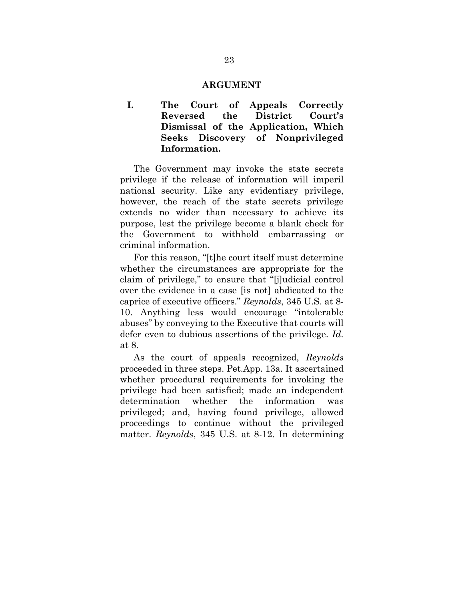#### **ARGUMENT**

<span id="page-30-1"></span><span id="page-30-0"></span>**I. The Court of Appeals Correctly Reversed the District Court's Dismissal of the Application, Which Seeks Discovery of Nonprivileged Information.**

The Government may invoke the state secrets privilege if the release of information will imperil national security. Like any evidentiary privilege, however, the reach of the state secrets privilege extends no wider than necessary to achieve its purpose, lest the privilege become a blank check for the Government to withhold embarrassing or criminal information.

For this reason, "[t]he court itself must determine whether the circumstances are appropriate for the claim of privilege," to ensure that "[j]udicial control over the evidence in a case [is not] abdicated to the caprice of executive officers." *Reynolds*, 345 U.S. at 8- 10. Anything less would encourage "intolerable abuses" by conveying to the Executive that courts will defer even to dubious assertions of the privilege. *Id.* at 8.

As the court of appeals recognized, *Reynolds* proceeded in three steps. Pet.App. 13a. It ascertained whether procedural requirements for invoking the privilege had been satisfied; made an independent determination whether the information was privileged; and, having found privilege, allowed proceedings to continue without the privileged matter. *Reynolds*, 345 U.S. at 8-12. In determining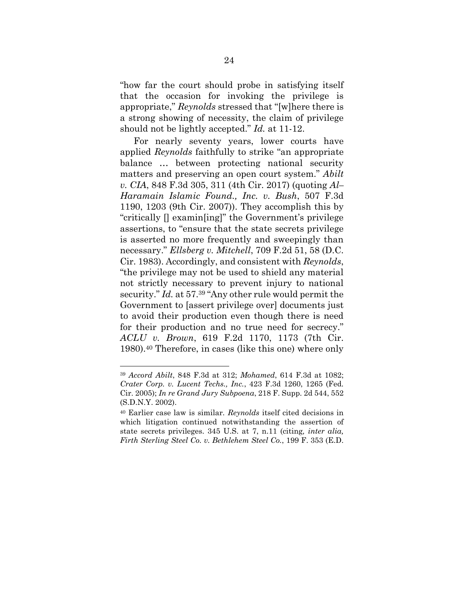"how far the court should probe in satisfying itself that the occasion for invoking the privilege is appropriate," *Reynolds* stressed that "[w]here there is a strong showing of necessity, the claim of privilege should not be lightly accepted." *Id.* at 11-12.

<span id="page-31-3"></span><span id="page-31-0"></span>For nearly seventy years, lower courts have applied *Reynolds* faithfully to strike "an appropriate balance … between protecting national security matters and preserving an open court system." *Abilt v. CIA*, 848 F.3d 305, 311 (4th Cir. 2017) (quoting *Al– Haramain Islamic Found., Inc. v. Bush*, 507 F.3d 1190, 1203 (9th Cir. 2007)). They accomplish this by "critically [] examin[ing]" the Government's privilege assertions, to "ensure that the state secrets privilege is asserted no more frequently and sweepingly than necessary." *Ellsberg v. Mitchell*, 709 F.2d 51, 58 (D.C. Cir. 1983). Accordingly, and consistent with *Reynolds*, "the privilege may not be used to shield any material not strictly necessary to prevent injury to national security." *Id.* at 57.<sup>39</sup> "Any other rule would permit the Government to [assert privilege over] documents just to avoid their production even though there is need for their production and no true need for secrecy." *ACLU v. Brown*, 619 F.2d 1170, 1173 (7th Cir. 1980).<sup>40</sup> Therefore, in cases (like this one) where only

<span id="page-31-5"></span><span id="page-31-4"></span><span id="page-31-2"></span><span id="page-31-1"></span><sup>39</sup> *Accord Abilt*, 848 F.3d at 312; *Mohamed*, 614 F.3d at 1082; *Crater Corp. v. Lucent Techs., Inc.*, 423 F.3d 1260, 1265 (Fed. Cir. 2005); *In re Grand Jury Subpoena*, 218 F. Supp. 2d 544, 552 (S.D.N.Y. 2002).

<sup>40</sup> Earlier case law is similar. *Reynolds* itself cited decisions in which litigation continued notwithstanding the assertion of state secrets privileges. 345 U.S. at 7, n.11 (citing*, inter alia, Firth Sterling Steel Co. v. Bethlehem Steel Co.*, 199 F. 353 (E.D.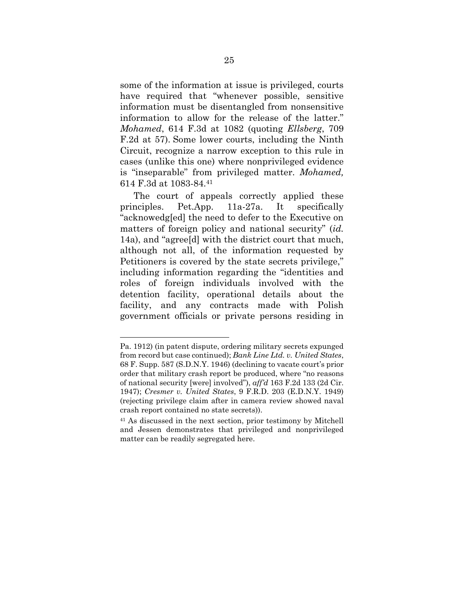<span id="page-32-0"></span>some of the information at issue is privileged, courts have required that "whenever possible, sensitive information must be disentangled from nonsensitive information to allow for the release of the latter." *Mohamed*, 614 F.3d at 1082 (quoting *Ellsberg*, 709 F.2d at 57). Some lower courts, including the Ninth Circuit, recognize a narrow exception to this rule in cases (unlike this one) where nonprivileged evidence is "inseparable" from privileged matter. *Mohamed,* 614 F.3d at 1083-84.<sup>41</sup>

The court of appeals correctly applied these principles. Pet.App. 11a-27a. It specifically "acknowedg[ed] the need to defer to the Executive on matters of foreign policy and national security" (*id.* 14a), and "agree[d] with the district court that much, although not all, of the information requested by Petitioners is covered by the state secrets privilege," including information regarding the "identities and roles of foreign individuals involved with the detention facility, operational details about the facility, and any contracts made with Polish government officials or private persons residing in

Pa. 1912) (in patent dispute, ordering military secrets expunged from record but case continued); *Bank Line Ltd. v. United States*, 68 F. Supp. 587 (S.D.N.Y. 1946) (declining to vacate court's prior order that military crash report be produced, where "no reasons of national security [were] involved"), *aff'd* 163 F.2d 133 (2d Cir. 1947); *Cresmer v. United States*, 9 F.R.D. 203 (E.D.N.Y. 1949) (rejecting privilege claim after in camera review showed naval crash report contained no state secrets)).

<sup>41</sup> As discussed in the next section, prior testimony by Mitchell and Jessen demonstrates that privileged and nonprivileged matter can be readily segregated here.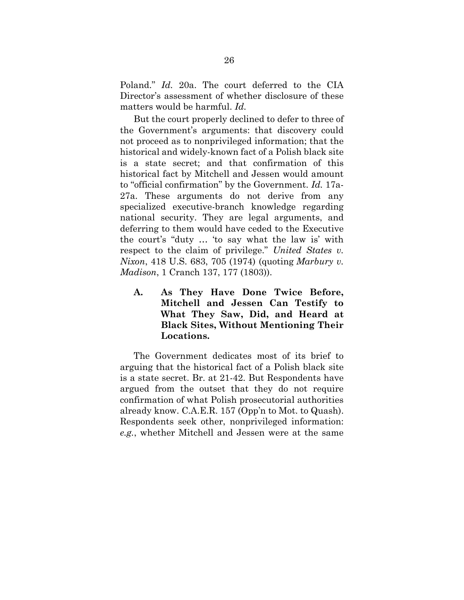Poland." *Id.* 20a. The court deferred to the CIA Director's assessment of whether disclosure of these matters would be harmful. *Id.*

But the court properly declined to defer to three of the Government's arguments: that discovery could not proceed as to nonprivileged information; that the historical and widely-known fact of a Polish black site is a state secret; and that confirmation of this historical fact by Mitchell and Jessen would amount to "official confirmation" by the Government. *Id.* 17a-27a. These arguments do not derive from any specialized executive-branch knowledge regarding national security. They are legal arguments, and deferring to them would have ceded to the Executive the court's "duty … 'to say what the law is' with respect to the claim of privilege." *United States v. Nixon*, 418 U.S. 683, 705 (1974) (quoting *Marbury v. Madison*, 1 Cranch 137, 177 (1803)).

<span id="page-33-2"></span><span id="page-33-1"></span><span id="page-33-0"></span>**A. As They Have Done Twice Before, Mitchell and Jessen Can Testify to What They Saw, Did, and Heard at Black Sites, Without Mentioning Their Locations.**

The Government dedicates most of its brief to arguing that the historical fact of a Polish black site is a state secret. Br. at 21-42. But Respondents have argued from the outset that they do not require confirmation of what Polish prosecutorial authorities already know. C.A.E.R. 157 (Opp'n to Mot. to Quash). Respondents seek other, nonprivileged information: *e.g.*, whether Mitchell and Jessen were at the same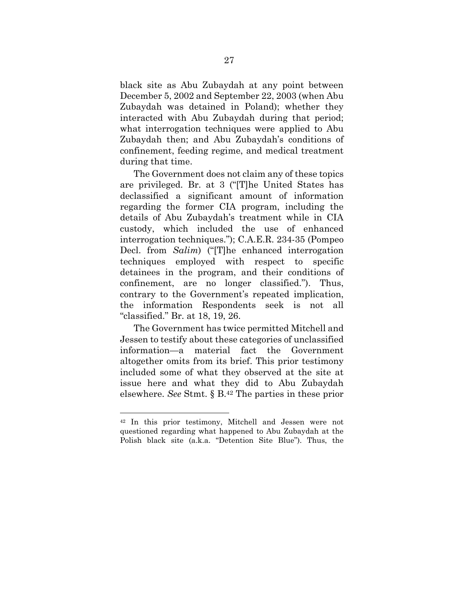black site as Abu Zubaydah at any point between December 5, 2002 and September 22, 2003 (when Abu Zubaydah was detained in Poland); whether they interacted with Abu Zubaydah during that period; what interrogation techniques were applied to Abu Zubaydah then; and Abu Zubaydah's conditions of confinement, feeding regime, and medical treatment during that time.

The Government does not claim any of these topics are privileged. Br. at 3 ("[T]he United States has declassified a significant amount of information regarding the former CIA program, including the details of Abu Zubaydah's treatment while in CIA custody, which included the use of enhanced interrogation techniques."); C.A.E.R. 234-35 (Pompeo Decl. from *Salim*) ("[T]he enhanced interrogation techniques employed with respect to specific detainees in the program, and their conditions of confinement, are no longer classified."). Thus, contrary to the Government's repeated implication, the information Respondents seek is not all "classified." Br. at 18, 19, 26.

The Government has twice permitted Mitchell and Jessen to testify about these categories of unclassified information—a material fact the Government altogether omits from its brief. This prior testimony included some of what they observed at the site at issue here and what they did to Abu Zubaydah elsewhere. *See* Stmt. § B. <sup>42</sup> The parties in these prior

<sup>42</sup> In this prior testimony, Mitchell and Jessen were not questioned regarding what happened to Abu Zubaydah at the Polish black site (a.k.a. "Detention Site Blue"). Thus, the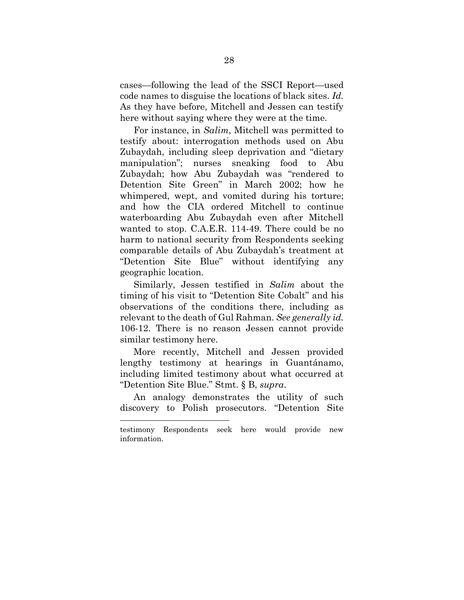cases—following the lead of the SSCI Report—used code names to disguise the locations of black sites. *Id.* As they have before, Mitchell and Jessen can testify here without saying where they were at the time.

For instance, in *Salim*, Mitchell was permitted to testify about: interrogation methods used on Abu Zubaydah, including sleep deprivation and "dietary manipulation"; nurses sneaking food to Abu Zubaydah; how Abu Zubaydah was "rendered to Detention Site Green" in March 2002; how he whimpered, wept, and vomited during his torture; and how the CIA ordered Mitchell to continue waterboarding Abu Zubaydah even after Mitchell wanted to stop. C.A.E.R. 114-49. There could be no harm to national security from Respondents seeking comparable details of Abu Zubaydah's treatment at "Detention Site Blue" without identifying any geographic location.

Similarly, Jessen testified in *Salim* about the timing of his visit to "Detention Site Cobalt" and his observations of the conditions there, including as relevant to the death of Gul Rahman. *See generally id.* 106-12. There is no reason Jessen cannot provide similar testimony here.

More recently, Mitchell and Jessen provided lengthy testimony at hearings in Guantánamo, including limited testimony about what occurred at "Detention Site Blue." Stmt. § B, *supra*.

An analogy demonstrates the utility of such discovery to Polish prosecutors. "Detention Site

testimony Respondents seek here would provide new information.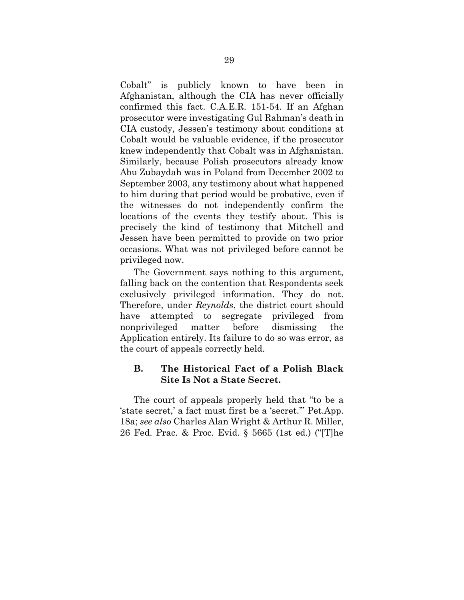Cobalt" is publicly known to have been in Afghanistan, although the CIA has never officially confirmed this fact. C.A.E.R. 151-54. If an Afghan prosecutor were investigating Gul Rahman's death in CIA custody, Jessen's testimony about conditions at Cobalt would be valuable evidence, if the prosecutor knew independently that Cobalt was in Afghanistan. Similarly, because Polish prosecutors already know Abu Zubaydah was in Poland from December 2002 to September 2003, any testimony about what happened to him during that period would be probative, even if the witnesses do not independently confirm the locations of the events they testify about. This is precisely the kind of testimony that Mitchell and Jessen have been permitted to provide on two prior occasions. What was not privileged before cannot be privileged now.

The Government says nothing to this argument, falling back on the contention that Respondents seek exclusively privileged information. They do not. Therefore, under *Reynolds*, the district court should have attempted to segregate privileged from nonprivileged matter before dismissing the Application entirely. Its failure to do so was error, as the court of appeals correctly held.

## <span id="page-36-0"></span>**B. The Historical Fact of a Polish Black Site Is Not a State Secret.**

<span id="page-36-1"></span>The court of appeals properly held that "to be a 'state secret,' a fact must first be a 'secret.'" Pet.App. 18a; *see also* Charles Alan Wright & Arthur R. Miller, 26 Fed. Prac. & Proc. Evid. § 5665 (1st ed.) ("[T]he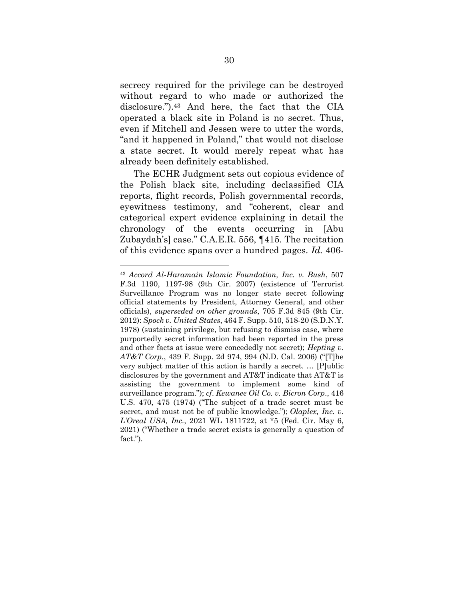secrecy required for the privilege can be destroyed without regard to who made or authorized the disclosure.").<sup>43</sup> And here, the fact that the CIA operated a black site in Poland is no secret. Thus, even if Mitchell and Jessen were to utter the words, "and it happened in Poland," that would not disclose a state secret. It would merely repeat what has already been definitely established.

The ECHR Judgment sets out copious evidence of the Polish black site, including declassified CIA reports, flight records, Polish governmental records, eyewitness testimony, and "coherent, clear and categorical expert evidence explaining in detail the chronology of the events occurring in [Abu Zubaydah's] case." C.A.E.R. 556, ¶415. The recitation of this evidence spans over a hundred pages. *Id.* 406-

<span id="page-37-4"></span><span id="page-37-3"></span><span id="page-37-2"></span><span id="page-37-1"></span><span id="page-37-0"></span><sup>43</sup> *Accord Al-Haramain Islamic Foundation, Inc. v. Bush*, 507 F.3d 1190, 1197-98 (9th Cir. 2007) (existence of Terrorist Surveillance Program was no longer state secret following official statements by President, Attorney General, and other officials), *superseded on other grounds*, 705 F.3d 845 (9th Cir. 2012): *Spock v. United States*, 464 F. Supp. 510, 518-20 (S.D.N.Y. 1978) (sustaining privilege, but refusing to dismiss case, where purportedly secret information had been reported in the press and other facts at issue were concededly not secret); *Hepting v. AT&T Corp.*, 439 F. Supp. 2d 974, 994 (N.D. Cal. 2006) ("[T]he very subject matter of this action is hardly a secret. … [P]ublic disclosures by the government and AT&T indicate that AT&T is assisting the government to implement some kind of surveillance program."); *cf*. *Kewanee Oil Co. v. Bicron Corp*., 416 U.S. 470, 475 (1974) ("The subject of a trade secret must be secret, and must not be of public knowledge."); *Olaplex, Inc. v. L'Oreal USA, Inc.*, 2021 WL 1811722, at \*5 (Fed. Cir. May 6, 2021) ("Whether a trade secret exists is generally a question of fact.").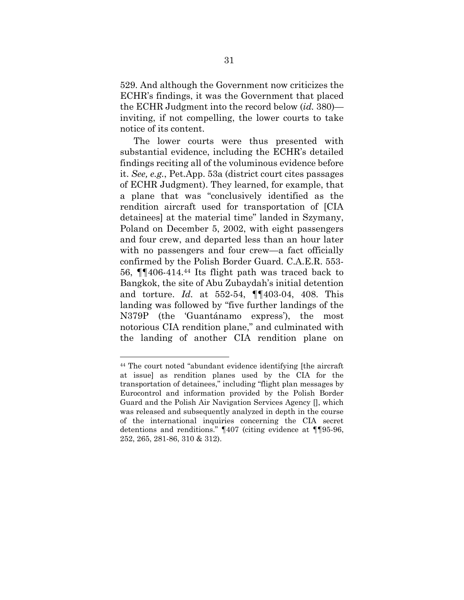529. And although the Government now criticizes the ECHR's findings, it was the Government that placed the ECHR Judgment into the record below (*id.* 380) inviting, if not compelling, the lower courts to take notice of its content.

The lower courts were thus presented with substantial evidence, including the ECHR's detailed findings reciting all of the voluminous evidence before it. *See, e.g.*, Pet.App. 53a (district court cites passages of ECHR Judgment). They learned, for example, that a plane that was "conclusively identified as the rendition aircraft used for transportation of [CIA detainees] at the material time" landed in Szymany, Poland on December 5, 2002, with eight passengers and four crew, and departed less than an hour later with no passengers and four crew—a fact officially confirmed by the Polish Border Guard. C.A.E.R. 553- 56, ¶¶406-414.<sup>44</sup> Its flight path was traced back to Bangkok, the site of Abu Zubaydah's initial detention and torture. *Id.* at 552-54, ¶¶403-04, 408. This landing was followed by "five further landings of the N379P (the 'Guantánamo express'), the most notorious CIA rendition plane," and culminated with the landing of another CIA rendition plane on

<sup>44</sup> The court noted "abundant evidence identifying [the aircraft at issue] as rendition planes used by the CIA for the transportation of detainees," including "flight plan messages by Eurocontrol and information provided by the Polish Border Guard and the Polish Air Navigation Services Agency [], which was released and subsequently analyzed in depth in the course of the international inquiries concerning the CIA secret detentions and renditions." ¶407 (citing evidence at ¶¶95-96, 252, 265, 281-86, 310 & 312).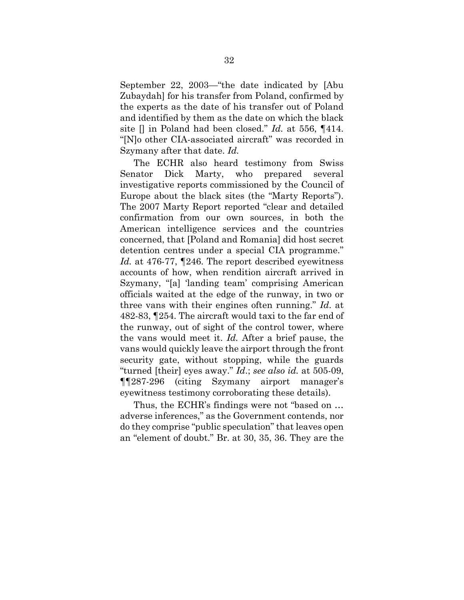September 22, 2003—"the date indicated by [Abu Zubaydah] for his transfer from Poland, confirmed by the experts as the date of his transfer out of Poland and identified by them as the date on which the black site [] in Poland had been closed." *Id.* at 556, ¶414. "[N]o other CIA-associated aircraft" was recorded in Szymany after that date. *Id.*

The ECHR also heard testimony from Swiss Senator Dick Marty, who prepared several investigative reports commissioned by the Council of Europe about the black sites (the "Marty Reports"). The 2007 Marty Report reported "clear and detailed confirmation from our own sources, in both the American intelligence services and the countries concerned, that [Poland and Romania] did host secret detention centres under a special CIA programme." *Id.* at 476-77, ¶246. The report described eyewitness accounts of how, when rendition aircraft arrived in Szymany, "[a] 'landing team' comprising American officials waited at the edge of the runway, in two or three vans with their engines often running." *Id*. at 482-83, ¶254. The aircraft would taxi to the far end of the runway, out of sight of the control tower, where the vans would meet it. *Id.* After a brief pause, the vans would quickly leave the airport through the front security gate, without stopping, while the guards "turned [their] eyes away." *Id*.; *see also id.* at 505-09, ¶¶287-296 (citing Szymany airport manager's eyewitness testimony corroborating these details).

Thus, the ECHR's findings were not "based on … adverse inferences," as the Government contends, nor do they comprise "public speculation" that leaves open an "element of doubt." Br. at 30, 35, 36. They are the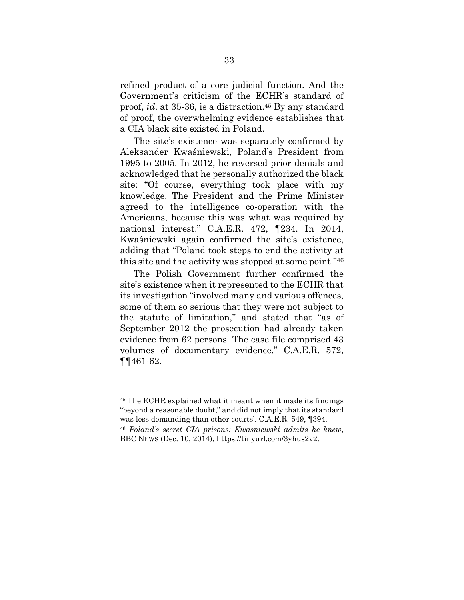refined product of a core judicial function. And the Government's criticism of the ECHR's standard of proof, *id*. at 35-36, is a distraction.<sup>45</sup> By any standard of proof, the overwhelming evidence establishes that a CIA black site existed in Poland.

The site's existence was separately confirmed by Aleksander Kwaśniewski, Poland's President from 1995 to 2005. In 2012, he reversed prior denials and acknowledged that he personally authorized the black site: "Of course, everything took place with my knowledge. The President and the Prime Minister agreed to the intelligence co-operation with the Americans, because this was what was required by national interest." C.A.E.R. 472, ¶234. In 2014, Kwaśniewski again confirmed the site's existence, adding that "Poland took steps to end the activity at this site and the activity was stopped at some point."<sup>46</sup>

The Polish Government further confirmed the site's existence when it represented to the ECHR that its investigation "involved many and various offences, some of them so serious that they were not subject to the statute of limitation," and stated that "as of September 2012 the prosecution had already taken evidence from 62 persons. The case file comprised 43 volumes of documentary evidence." C.A.E.R. 572, ¶¶461-62.

<sup>45</sup> The ECHR explained what it meant when it made its findings "beyond a reasonable doubt," and did not imply that its standard was less demanding than other courts'. C.A.E.R. 549, ¶394.

<sup>46</sup> *Poland's secret CIA prisons: Kwasniewski admits he knew*, BBC NEWS (Dec. 10, 2014), https://tinyurl.com/3yhus2v2.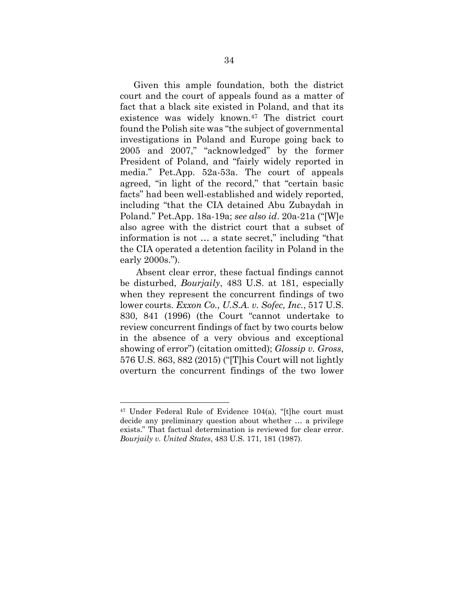Given this ample foundation, both the district court and the court of appeals found as a matter of fact that a black site existed in Poland, and that its existence was widely known.<sup>47</sup> The district court found the Polish site was "the subject of governmental investigations in Poland and Europe going back to 2005 and 2007," "acknowledged" by the former President of Poland, and "fairly widely reported in media." Pet.App. 52a-53a. The court of appeals agreed, "in light of the record," that "certain basic facts" had been well-established and widely reported, including "that the CIA detained Abu Zubaydah in Poland." Pet.App. 18a-19a; *see also id*. 20a-21a ("[W]e also agree with the district court that a subset of information is not … a state secret," including "that the CIA operated a detention facility in Poland in the early 2000s.").

<span id="page-41-1"></span>Absent clear error, these factual findings cannot be disturbed, *Bourjaily*, 483 U.S. at 181, especially when they represent the concurrent findings of two lower courts. *Exxon Co., U.S.A. v. Sofec, Inc.*, 517 U.S. 830, 841 (1996) (the Court "cannot undertake to review concurrent findings of fact by two courts below in the absence of a very obvious and exceptional showing of error") (citation omitted); *Glossip v. Gross*, 576 U.S. 863, 882 (2015) ("[T]his Court will not lightly overturn the concurrent findings of the two lower

<span id="page-41-3"></span><span id="page-41-2"></span><span id="page-41-0"></span><sup>47</sup> Under Federal Rule of Evidence 104(a), "[t]he court must decide any preliminary question about whether … a privilege exists." That factual determination is reviewed for clear error. *Bourjaily v. United States*, 483 U.S. 171, 181 (1987).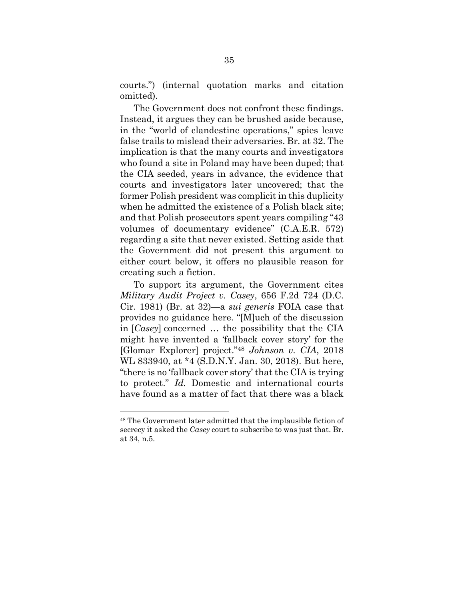courts.") (internal quotation marks and citation omitted).

The Government does not confront these findings. Instead, it argues they can be brushed aside because, in the "world of clandestine operations," spies leave false trails to mislead their adversaries. Br. at 32. The implication is that the many courts and investigators who found a site in Poland may have been duped; that the CIA seeded, years in advance, the evidence that courts and investigators later uncovered; that the former Polish president was complicit in this duplicity when he admitted the existence of a Polish black site; and that Polish prosecutors spent years compiling "43 volumes of documentary evidence" (C.A.E.R. 572) regarding a site that never existed. Setting aside that the Government did not present this argument to either court below, it offers no plausible reason for creating such a fiction.

<span id="page-42-1"></span><span id="page-42-0"></span>To support its argument, the Government cites *Military Audit Project v. Casey*, 656 F.2d 724 (D.C. Cir. 1981) (Br. at 32)—a *sui generis* FOIA case that provides no guidance here. "[M]uch of the discussion in [*Casey*] concerned … the possibility that the CIA might have invented a 'fallback cover story' for the [Glomar Explorer] project."<sup>48</sup> *Johnson v. CIA*, 2018 WL 833940, at \*4 (S.D.N.Y. Jan. 30, 2018). But here, "there is no 'fallback cover story' that the CIA is trying to protect." *Id.* Domestic and international courts have found as a matter of fact that there was a black

<sup>48</sup> The Government later admitted that the implausible fiction of secrecy it asked the *Casey* court to subscribe to was just that. Br. at 34, n.5.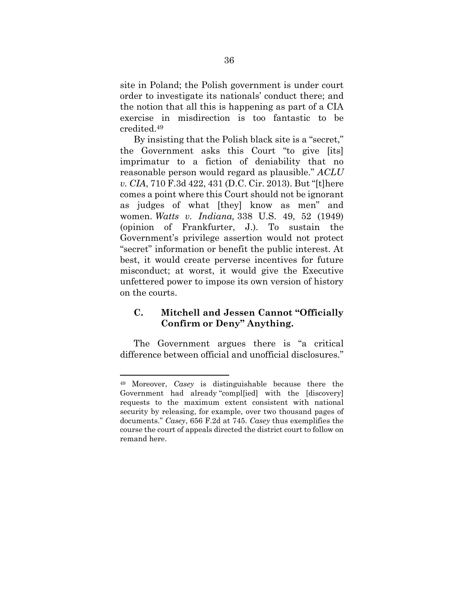site in Poland; the Polish government is under court order to investigate its nationals' conduct there; and the notion that all this is happening as part of a CIA exercise in misdirection is too fantastic to be credited.<sup>49</sup>

<span id="page-43-3"></span><span id="page-43-1"></span>By insisting that the Polish black site is a "secret," the Government asks this Court "to give [its] imprimatur to a fiction of deniability that no reasonable person would regard as plausible." *ACLU v. CIA*, 710 F.3d 422, 431 (D.C. Cir. 2013). But "[t]here comes a point where this Court should not be ignorant as judges of what [they] know as men" and women. *Watts v. Indiana,* 338 U.S. 49, 52 (1949) (opinion of Frankfurter, J.). To sustain the Government's privilege assertion would not protect "secret" information or benefit the public interest. At best, it would create perverse incentives for future misconduct; at worst, it would give the Executive unfettered power to impose its own version of history on the courts.

## <span id="page-43-0"></span>**C. Mitchell and Jessen Cannot "Officially Confirm or Deny" Anything.**

The Government argues there is "a critical difference between official and unofficial disclosures."

<span id="page-43-2"></span><sup>49</sup> Moreover, *Casey* is distinguishable because there the Government had already "compl[ied] with the [discovery] requests to the maximum extent consistent with national security by releasing, for example, over two thousand pages of documents." *Casey*, 656 F.2d at 745. *Casey* thus exemplifies the course the court of appeals directed the district court to follow on remand here.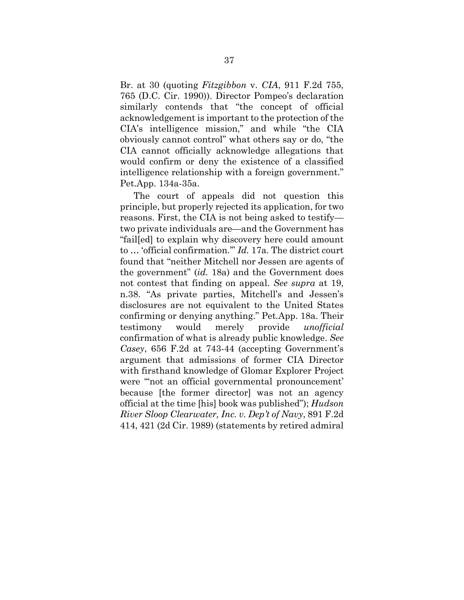Br. at 30 (quoting *Fitzgibbon* v. *CIA*, 911 F.2d 755, 765 (D.C. Cir. 1990)). Director Pompeo's declaration similarly contends that "the concept of official acknowledgement is important to the protection of the CIA's intelligence mission," and while "the CIA obviously cannot control" what others say or do, "the CIA cannot officially acknowledge allegations that would confirm or deny the existence of a classified intelligence relationship with a foreign government." Pet.App. 134a-35a.

<span id="page-44-1"></span><span id="page-44-0"></span>The court of appeals did not question this principle, but properly rejected its application, for two reasons. First, the CIA is not being asked to testify two private individuals are—and the Government has "fail[ed] to explain why discovery here could amount to … 'official confirmation.'" *Id.* 17a. The district court found that "neither Mitchell nor Jessen are agents of the government" (*id.* 18a) and the Government does not contest that finding on appeal. *See supra* at 19, n.38. "As private parties, Mitchell's and Jessen's disclosures are not equivalent to the United States confirming or denying anything." Pet*.*App. 18a. Their testimony would merely provide *unofficial*  confirmation of what is already public knowledge. *See Casey*, 656 F.2d at 743-44 (accepting Government's argument that admissions of former CIA Director with firsthand knowledge of Glomar Explorer Project were "'not an official governmental pronouncement' because [the former director] was not an agency official at the time [his] book was published"); *Hudson River Sloop Clearwater, Inc. v. Dep't of Navy*, 891 F.2d 414, 421 (2d Cir. 1989) (statements by retired admiral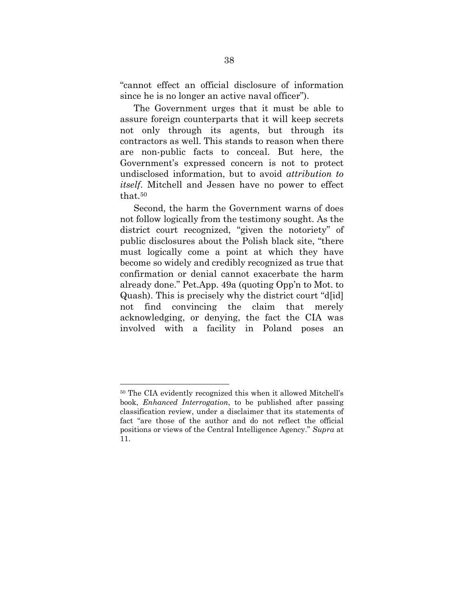"cannot effect an official disclosure of information since he is no longer an active naval officer").

The Government urges that it must be able to assure foreign counterparts that it will keep secrets not only through its agents, but through its contractors as well. This stands to reason when there are non-public facts to conceal. But here, the Government's expressed concern is not to protect undisclosed information, but to avoid *attribution to itself*. Mitchell and Jessen have no power to effect that.<sup>50</sup>

Second, the harm the Government warns of does not follow logically from the testimony sought. As the district court recognized, "given the notoriety" of public disclosures about the Polish black site, "there must logically come a point at which they have become so widely and credibly recognized as true that confirmation or denial cannot exacerbate the harm already done." Pet.App. 49a (quoting Opp'n to Mot. to Quash). This is precisely why the district court "d[id] not find convincing the claim that merely acknowledging, or denying, the fact the CIA was involved with a facility in Poland poses an

<sup>50</sup> The CIA evidently recognized this when it allowed Mitchell's book, *Enhanced Interrogation*, to be published after passing classification review, under a disclaimer that its statements of fact "are those of the author and do not reflect the official positions or views of the Central Intelligence Agency." *Supra* at 11.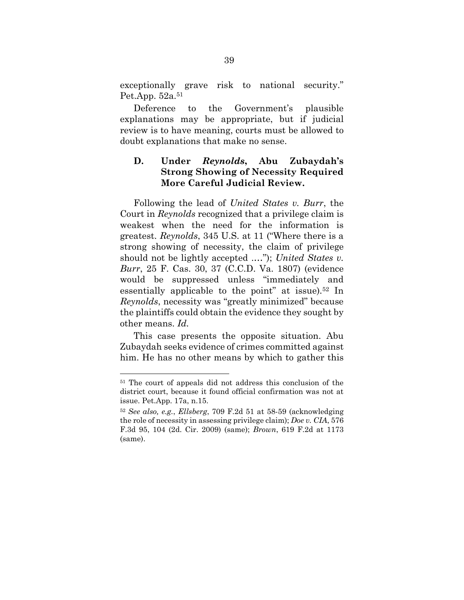exceptionally grave risk to national security." Pet.App. 52a.<sup>51</sup>

Deference to the Government's plausible explanations may be appropriate, but if judicial review is to have meaning, courts must be allowed to doubt explanations that make no sense.

## <span id="page-46-1"></span><span id="page-46-0"></span>**D. Under** *Reynolds***, Abu Zubaydah's Strong Showing of Necessity Required More Careful Judicial Review.**

Following the lead of *United States v. Burr*, the Court in *Reynolds* recognized that a privilege claim is weakest when the need for the information is greatest. *Reynolds*, 345 U.S. at 11 ("Where there is a strong showing of necessity, the claim of privilege should not be lightly accepted .…"); *United States v. Burr*, 25 F. Cas. 30, 37 (C.C.D. Va. 1807) (evidence would be suppressed unless "immediately and essentially applicable to the point" at issue)*.* <sup>52</sup> In *Reynolds*, necessity was "greatly minimized" because the plaintiffs could obtain the evidence they sought by other means. *Id.*

<span id="page-46-2"></span>This case presents the opposite situation. Abu Zubaydah seeks evidence of crimes committed against him. He has no other means by which to gather this

<sup>51</sup> The court of appeals did not address this conclusion of the district court, because it found official confirmation was not at issue. Pet.App. 17a, n.15.

<span id="page-46-4"></span><span id="page-46-3"></span><sup>52</sup> *See also, e.g.*, *Ellsberg*, 709 F.2d 51 at 58-59 (acknowledging the role of necessity in assessing privilege claim); *Doe v. CIA*, 576 F.3d 95, 104 (2d. Cir. 2009) (same); *Brown*, 619 F.2d at 1173 (same).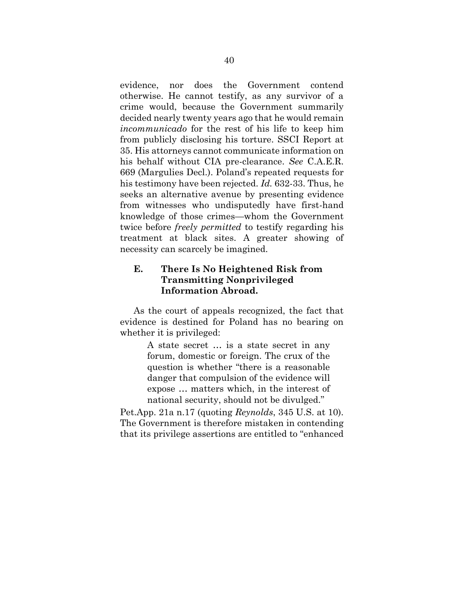evidence, nor does the Government contend otherwise. He cannot testify, as any survivor of a crime would, because the Government summarily decided nearly twenty years ago that he would remain *incommunicado* for the rest of his life to keep him from publicly disclosing his torture. SSCI Report at 35. His attorneys cannot communicate information on his behalf without CIA pre-clearance. *See* C.A.E.R. 669 (Margulies Decl.). Poland's repeated requests for his testimony have been rejected. *Id.* 632-33. Thus, he seeks an alternative avenue by presenting evidence from witnesses who undisputedly have first-hand knowledge of those crimes—whom the Government twice before *freely permitted* to testify regarding his treatment at black sites. A greater showing of necessity can scarcely be imagined.

## <span id="page-47-0"></span>**E. There Is No Heightened Risk from Transmitting Nonprivileged Information Abroad.**

As the court of appeals recognized, the fact that evidence is destined for Poland has no bearing on whether it is privileged:

> A state secret … is a state secret in any forum, domestic or foreign. The crux of the question is whether "there is a reasonable danger that compulsion of the evidence will expose … matters which, in the interest of national security, should not be divulged."

Pet.App. 21a n.17 (quoting *Reynolds*, 345 U.S. at 10). The Government is therefore mistaken in contending that its privilege assertions are entitled to "enhanced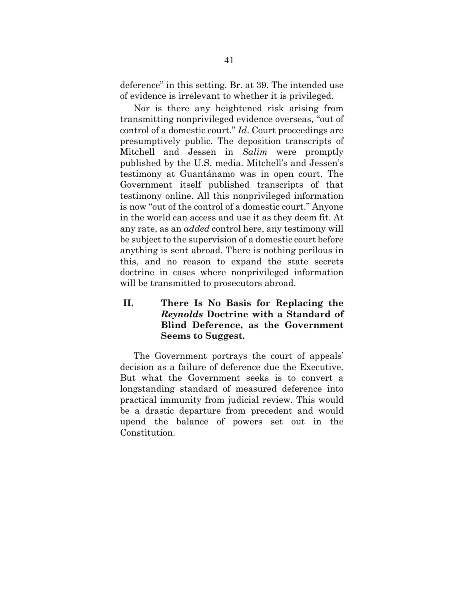deference" in this setting. Br. at 39. The intended use of evidence is irrelevant to whether it is privileged.

Nor is there any heightened risk arising from transmitting nonprivileged evidence overseas, "out of control of a domestic court." *Id*. Court proceedings are presumptively public. The deposition transcripts of Mitchell and Jessen in *Salim* were promptly published by the U.S. media. Mitchell's and Jessen's testimony at Guantánamo was in open court. The Government itself published transcripts of that testimony online. All this nonprivileged information is now "out of the control of a domestic court." Anyone in the world can access and use it as they deem fit. At any rate, as an *added* control here, any testimony will be subject to the supervision of a domestic court before anything is sent abroad. There is nothing perilous in this, and no reason to expand the state secrets doctrine in cases where nonprivileged information will be transmitted to prosecutors abroad.

## <span id="page-48-0"></span>**II. There Is No Basis for Replacing the**  *Reynolds* **Doctrine with a Standard of Blind Deference, as the Government Seems to Suggest.**

The Government portrays the court of appeals' decision as a failure of deference due the Executive. But what the Government seeks is to convert a longstanding standard of measured deference into practical immunity from judicial review. This would be a drastic departure from precedent and would upend the balance of powers set out in the Constitution.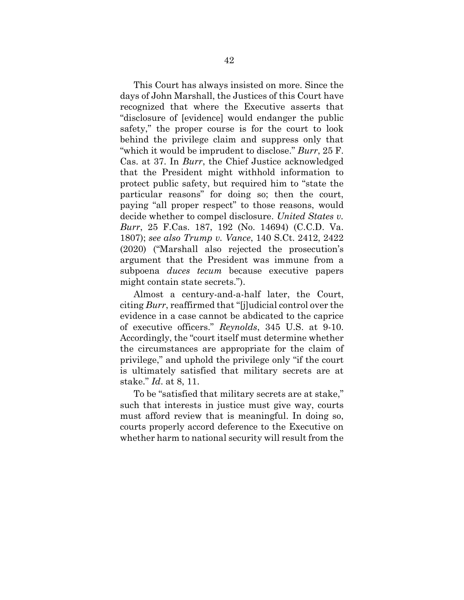This Court has always insisted on more. Since the days of John Marshall, the Justices of this Court have recognized that where the Executive asserts that "disclosure of [evidence] would endanger the public safety," the proper course is for the court to look behind the privilege claim and suppress only that "which it would be imprudent to disclose." *Burr*, 25 F. Cas. at 37. In *Burr*, the Chief Justice acknowledged that the President might withhold information to protect public safety, but required him to "state the particular reasons" for doing so; then the court, paying "all proper respect" to those reasons, would decide whether to compel disclosure. *United States v. Burr*, 25 F.Cas. 187, 192 (No. 14694) (C.C.D. Va. 1807); *see also Trump v. Vance*, 140 S.Ct. 2412, 2422 (2020) ("Marshall also rejected the prosecution's argument that the President was immune from a subpoena *duces tecum* because executive papers might contain state secrets.").

<span id="page-49-1"></span><span id="page-49-0"></span>Almost a century-and-a-half later, the Court, citing *Burr*, reaffirmed that "[j]udicial control over the evidence in a case cannot be abdicated to the caprice of executive officers." *Reynolds*, 345 U.S. at 9-10. Accordingly, the "court itself must determine whether the circumstances are appropriate for the claim of privilege," and uphold the privilege only "if the court is ultimately satisfied that military secrets are at stake." *Id*. at 8, 11.

To be "satisfied that military secrets are at stake," such that interests in justice must give way, courts must afford review that is meaningful. In doing so, courts properly accord deference to the Executive on whether harm to national security will result from the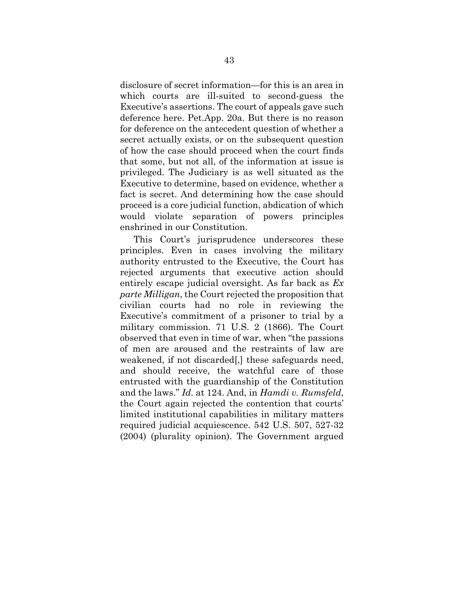disclosure of secret information—for this is an area in which courts are ill-suited to second-guess the Executive's assertions. The court of appeals gave such deference here. Pet.App. 20a. But there is no reason for deference on the antecedent question of whether a secret actually exists, or on the subsequent question of how the case should proceed when the court finds that some, but not all, of the information at issue is privileged. The Judiciary is as well situated as the Executive to determine, based on evidence, whether a fact is secret. And determining how the case should proceed is a core judicial function, abdication of which would violate separation of powers principles enshrined in our Constitution.

This Court's jurisprudence underscores these principles. Even in cases involving the military authority entrusted to the Executive, the Court has rejected arguments that executive action should entirely escape judicial oversight. As far back as *Ex parte Milligan*, the Court rejected the proposition that civilian courts had no role in reviewing the Executive's commitment of a prisoner to trial by a military commission. 71 U.S. 2 (1866). The Court observed that even in time of war, when "the passions of men are aroused and the restraints of law are weakened, if not discarded[,] these safeguards need, and should receive, the watchful care of those entrusted with the guardianship of the Constitution and the laws." *Id.* at 124. And, in *Hamdi v. Rumsfeld*, the Court again rejected the contention that courts' limited institutional capabilities in military matters required judicial acquiescence. 542 U.S. 507, 527-32 (2004) (plurality opinion). The Government argued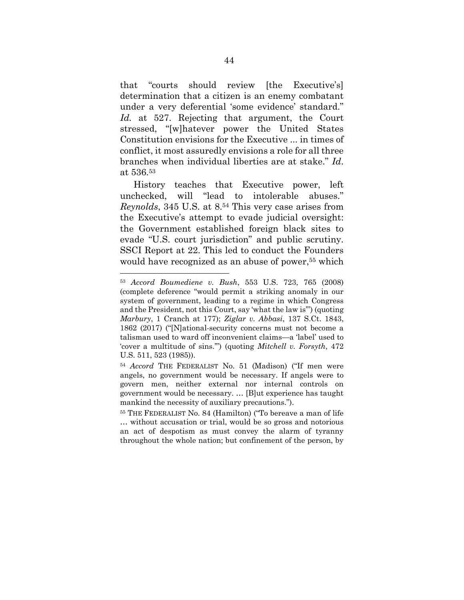that "courts should review [the Executive's] determination that a citizen is an enemy combatant under a very deferential 'some evidence' standard." *Id.* at 527. Rejecting that argument, the Court stressed, "[w]hatever power the United States Constitution envisions for the Executive ... in times of conflict, it most assuredly envisions a role for all three branches when individual liberties are at stake." *Id*. at 536. 53

History teaches that Executive power, left unchecked, will "lead to intolerable abuses." *Reynolds*, 345 U.S. at 8. <sup>54</sup> This very case arises from the Executive's attempt to evade judicial oversight: the Government established foreign black sites to evade "U.S. court jurisdiction" and public scrutiny. SSCI Report at 22. This led to conduct the Founders would have recognized as an abuse of power, <sup>55</sup> which

<span id="page-51-3"></span><span id="page-51-1"></span><span id="page-51-0"></span><sup>53</sup> *Accord Boumediene v. Bush*, 553 U.S. 723, 765 (2008) (complete deference "would permit a striking anomaly in our system of government, leading to a regime in which Congress and the President, not this Court, say 'what the law is'") (quoting *Marbury*, 1 Cranch at 177); *Ziglar v. Abbasi*, 137 S.Ct. 1843, 1862 (2017) ("[N]ational-security concerns must not become a talisman used to ward off inconvenient claims—a 'label' used to 'cover a multitude of sins.'") (quoting *Mitchell v. Forsyth*, 472 U.S. 511, 523 (1985)).

<span id="page-51-2"></span><sup>54</sup> *Accord* THE FEDERALIST No. 51 (Madison) ("If men were angels, no government would be necessary. If angels were to govern men, neither external nor internal controls on government would be necessary. … [B]ut experience has taught mankind the necessity of auxiliary precautions.").

<sup>55</sup> THE FEDERALIST No. 84 (Hamilton) ("To bereave a man of life … without accusation or trial, would be so gross and notorious an act of despotism as must convey the alarm of tyranny throughout the whole nation; but confinement of the person, by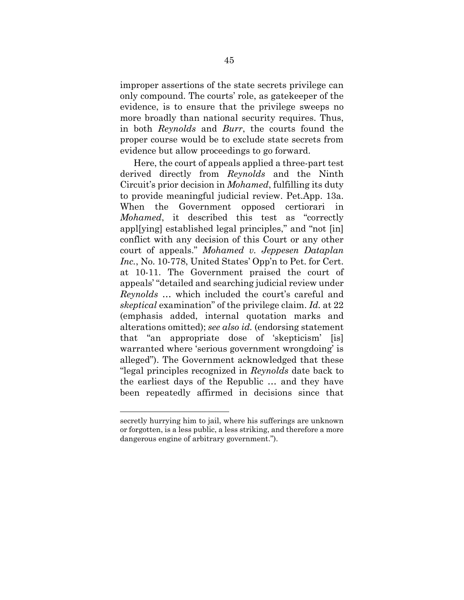improper assertions of the state secrets privilege can only compound. The courts' role, as gatekeeper of the evidence, is to ensure that the privilege sweeps no more broadly than national security requires. Thus, in both *Reynolds* and *Burr*, the courts found the proper course would be to exclude state secrets from evidence but allow proceedings to go forward.

<span id="page-52-1"></span><span id="page-52-0"></span>Here, the court of appeals applied a three-part test derived directly from *Reynolds* and the Ninth Circuit's prior decision in *Mohamed*, fulfilling its duty to provide meaningful judicial review. Pet.App. 13a. When the Government opposed certiorari in *Mohamed*, it described this test as "correctly appl[ying] established legal principles," and "not [in] conflict with any decision of this Court or any other court of appeals." *Mohamed v. Jeppesen Dataplan Inc.*, No. 10-778, United States' Opp'n to Pet. for Cert. at 10-11. The Government praised the court of appeals' "detailed and searching judicial review under *Reynolds* … which included the court's careful and *skeptical* examination" of the privilege claim. *Id.* at 22 (emphasis added, internal quotation marks and alterations omitted); *see also id.* (endorsing statement that "an appropriate dose of 'skepticism' [is] warranted where 'serious government wrongdoing' is alleged"). The Government acknowledged that these "legal principles recognized in *Reynolds* date back to the earliest days of the Republic … and they have been repeatedly affirmed in decisions since that

secretly hurrying him to jail, where his sufferings are unknown or forgotten, is a less public, a less striking, and therefore a more dangerous engine of arbitrary government.").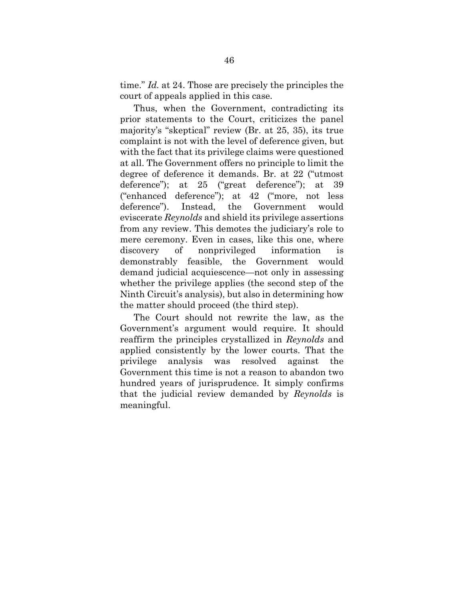time." *Id.* at 24. Those are precisely the principles the court of appeals applied in this case.

Thus, when the Government, contradicting its prior statements to the Court, criticizes the panel majority's "skeptical" review (Br. at 25, 35), its true complaint is not with the level of deference given, but with the fact that its privilege claims were questioned at all. The Government offers no principle to limit the degree of deference it demands. Br. at 22 ("utmost deference"); at 25 ("great deference"); at 39 ("enhanced deference"); at 42 ("more, not less deference"). Instead, the Government would eviscerate *Reynolds* and shield its privilege assertions from any review. This demotes the judiciary's role to mere ceremony. Even in cases, like this one, where discovery of nonprivileged information is demonstrably feasible, the Government would demand judicial acquiescence—not only in assessing whether the privilege applies (the second step of the Ninth Circuit's analysis), but also in determining how the matter should proceed (the third step).

The Court should not rewrite the law, as the Government's argument would require. It should reaffirm the principles crystallized in *Reynolds* and applied consistently by the lower courts. That the privilege analysis was resolved against the Government this time is not a reason to abandon two hundred years of jurisprudence. It simply confirms that the judicial review demanded by *Reynolds* is meaningful.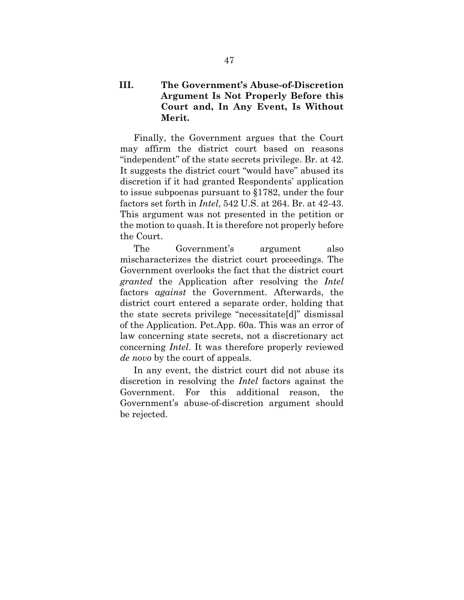## <span id="page-54-0"></span>**III. The Government's Abuse-of-Discretion Argument Is Not Properly Before this Court and, In Any Event, Is Without Merit.**

Finally, the Government argues that the Court may affirm the district court based on reasons "independent" of the state secrets privilege. Br. at 42. It suggests the district court "would have" abused its discretion if it had granted Respondents' application to issue subpoenas pursuant to §1782, under the four factors set forth in *Intel*, 542 U.S. at 264. Br. at 42-43. This argument was not presented in the petition or the motion to quash. It is therefore not properly before the Court.

The Government's argument also mischaracterizes the district court proceedings. The Government overlooks the fact that the district court *granted* the Application after resolving the *Intel* factors *against* the Government. Afterwards, the district court entered a separate order, holding that the state secrets privilege "necessitate[d]" dismissal of the Application. Pet.App. 60a. This was an error of law concerning state secrets, not a discretionary act concerning *Intel*. It was therefore properly reviewed *de novo* by the court of appeals.

In any event, the district court did not abuse its discretion in resolving the *Intel* factors against the Government. For this additional reason, the Government's abuse-of-discretion argument should be rejected.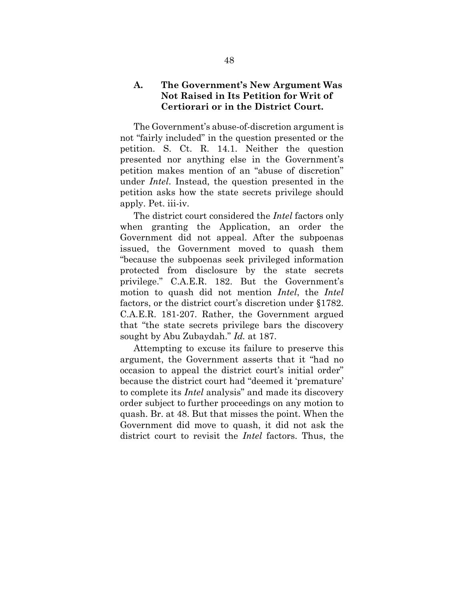### <span id="page-55-0"></span>**A. The Government's New Argument Was Not Raised in Its Petition for Writ of Certiorari or in the District Court.**

The Government's abuse-of-discretion argument is not "fairly included" in the question presented or the petition. S. Ct. R. 14.1. Neither the question presented nor anything else in the Government's petition makes mention of an "abuse of discretion" under *Intel*. Instead, the question presented in the petition asks how the state secrets privilege should apply. Pet. iii-iv.

The district court considered the *Intel* factors only when granting the Application, an order the Government did not appeal. After the subpoenas issued, the Government moved to quash them "because the subpoenas seek privileged information protected from disclosure by the state secrets privilege." C.A.E.R. 182. But the Government's motion to quash did not mention *Intel*, the *Intel* factors, or the district court's discretion under §1782. C.A.E.R. 181-207. Rather, the Government argued that "the state secrets privilege bars the discovery sought by Abu Zubaydah." *Id.* at 187.

Attempting to excuse its failure to preserve this argument, the Government asserts that it "had no occasion to appeal the district court's initial order" because the district court had "deemed it 'premature' to complete its *Intel* analysis" and made its discovery order subject to further proceedings on any motion to quash. Br. at 48. But that misses the point. When the Government did move to quash, it did not ask the district court to revisit the *Intel* factors. Thus, the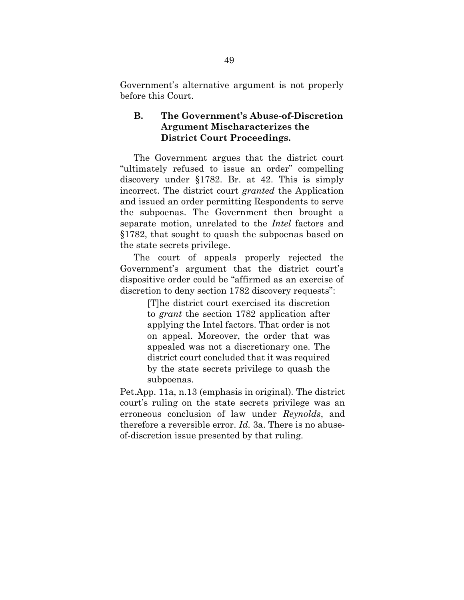Government's alternative argument is not properly before this Court.

## <span id="page-56-0"></span>**B. The Government's Abuse-of-Discretion Argument Mischaracterizes the District Court Proceedings.**

The Government argues that the district court "ultimately refused to issue an order" compelling discovery under §1782. Br. at 42. This is simply incorrect. The district court *granted* the Application and issued an order permitting Respondents to serve the subpoenas. The Government then brought a separate motion, unrelated to the *Intel* factors and §1782, that sought to quash the subpoenas based on the state secrets privilege.

The court of appeals properly rejected the Government's argument that the district court's dispositive order could be "affirmed as an exercise of discretion to deny section 1782 discovery requests":

> [T]he district court exercised its discretion to *grant* the section 1782 application after applying the Intel factors. That order is not on appeal. Moreover, the order that was appealed was not a discretionary one. The district court concluded that it was required by the state secrets privilege to quash the subpoenas.

Pet.App. 11a, n.13 (emphasis in original)*.* The district court's ruling on the state secrets privilege was an erroneous conclusion of law under *Reynolds*, and therefore a reversible error. *Id.* 3a. There is no abuseof-discretion issue presented by that ruling.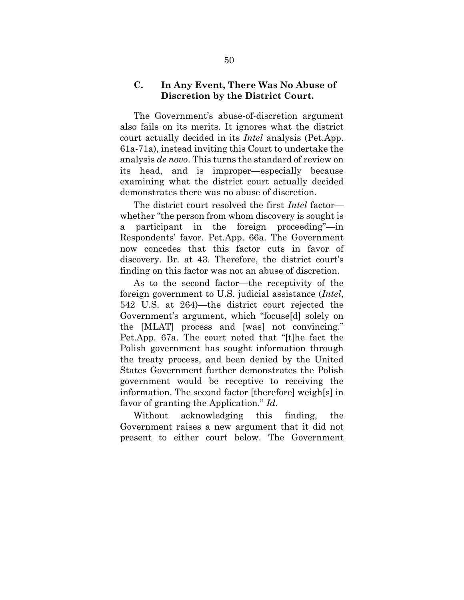### <span id="page-57-0"></span>**C. In Any Event, There Was No Abuse of Discretion by the District Court.**

The Government's abuse-of-discretion argument also fails on its merits. It ignores what the district court actually decided in its *Intel* analysis (Pet.App. 61a-71a), instead inviting this Court to undertake the analysis *de novo*. This turns the standard of review on its head, and is improper—especially because examining what the district court actually decided demonstrates there was no abuse of discretion.

The district court resolved the first *Intel* factor whether "the person from whom discovery is sought is a participant in the foreign proceeding"—in Respondents' favor. Pet.App. 66a. The Government now concedes that this factor cuts in favor of discovery. Br. at 43. Therefore, the district court's finding on this factor was not an abuse of discretion.

As to the second factor—the receptivity of the foreign government to U.S. judicial assistance (*Intel*, 542 U.S. at 264)—the district court rejected the Government's argument, which "focuse[d] solely on the [MLAT] process and [was] not convincing." Pet.App. 67a. The court noted that "[t]he fact the Polish government has sought information through the treaty process, and been denied by the United States Government further demonstrates the Polish government would be receptive to receiving the information. The second factor [therefore] weigh[s] in favor of granting the Application." *Id*.

Without acknowledging this finding, the Government raises a new argument that it did not present to either court below. The Government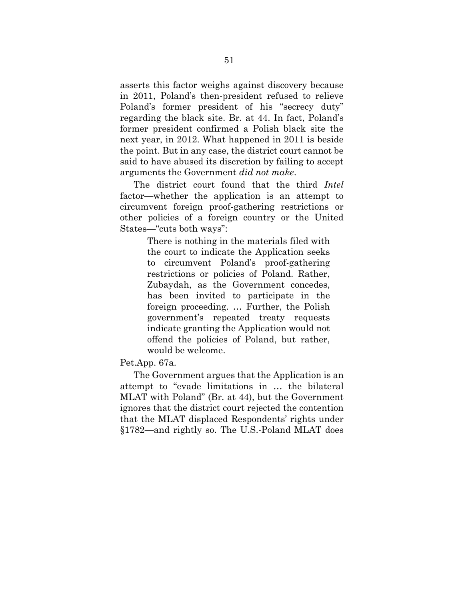asserts this factor weighs against discovery because in 2011, Poland's then-president refused to relieve Poland's former president of his "secrecy duty" regarding the black site. Br. at 44. In fact, Poland's former president confirmed a Polish black site the next year, in 2012. What happened in 2011 is beside the point. But in any case, the district court cannot be said to have abused its discretion by failing to accept arguments the Government *did not make*.

The district court found that the third *Intel* factor—whether the application is an attempt to circumvent foreign proof-gathering restrictions or other policies of a foreign country or the United States—"cuts both ways":

> There is nothing in the materials filed with the court to indicate the Application seeks to circumvent Poland's proof-gathering restrictions or policies of Poland. Rather, Zubaydah, as the Government concedes, has been invited to participate in the foreign proceeding. … Further, the Polish government's repeated treaty requests indicate granting the Application would not offend the policies of Poland, but rather, would be welcome.

#### Pet.App. 67a.

The Government argues that the Application is an attempt to "evade limitations in … the bilateral MLAT with Poland" (Br. at 44), but the Government ignores that the district court rejected the contention that the MLAT displaced Respondents' rights under §1782—and rightly so. The U.S.-Poland MLAT does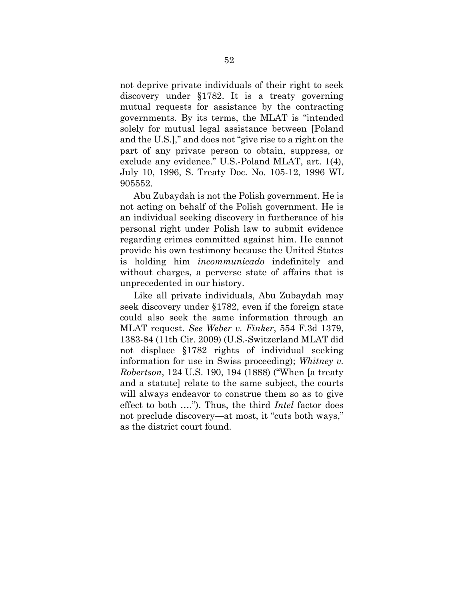not deprive private individuals of their right to seek discovery under §1782. It is a treaty governing mutual requests for assistance by the contracting governments. By its terms, the MLAT is "intended solely for mutual legal assistance between [Poland and the U.S.]," and does not "give rise to a right on the part of any private person to obtain, suppress, or exclude any evidence." U.S.-Poland MLAT, art. 1(4), July 10, 1996, S. Treaty Doc. No. 105-12, 1996 WL 905552.

Abu Zubaydah is not the Polish government. He is not acting on behalf of the Polish government. He is an individual seeking discovery in furtherance of his personal right under Polish law to submit evidence regarding crimes committed against him. He cannot provide his own testimony because the United States is holding him *incommunicado* indefinitely and without charges, a perverse state of affairs that is unprecedented in our history.

<span id="page-59-1"></span><span id="page-59-0"></span>Like all private individuals, Abu Zubaydah may seek discovery under §1782, even if the foreign state could also seek the same information through an MLAT request. *See Weber v. Finker*, 554 F.3d 1379, 1383-84 (11th Cir. 2009) (U.S.-Switzerland MLAT did not displace §1782 rights of individual seeking information for use in Swiss proceeding); *Whitney v. Robertson*, 124 U.S. 190, 194 (1888) ("When [a treaty and a statute] relate to the same subject, the courts will always endeavor to construe them so as to give effect to both …."). Thus, the third *Intel* factor does not preclude discovery—at most, it "cuts both ways," as the district court found.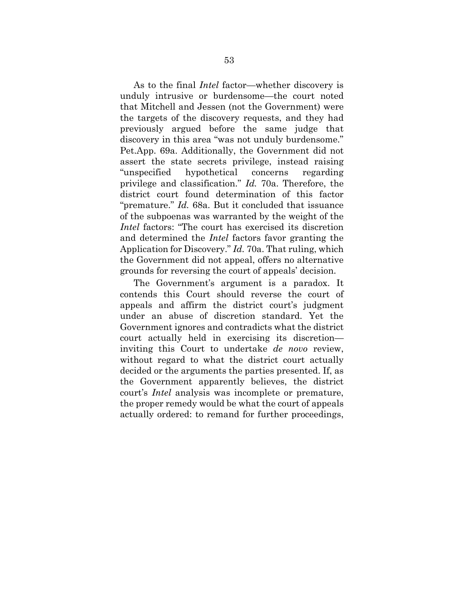As to the final *Intel* factor—whether discovery is unduly intrusive or burdensome—the court noted that Mitchell and Jessen (not the Government) were the targets of the discovery requests, and they had previously argued before the same judge that discovery in this area "was not unduly burdensome." Pet.App. 69a. Additionally, the Government did not assert the state secrets privilege, instead raising "unspecified hypothetical concerns regarding privilege and classification." *Id.* 70a. Therefore, the district court found determination of this factor "premature." *Id.* 68a. But it concluded that issuance of the subpoenas was warranted by the weight of the *Intel* factors: "The court has exercised its discretion and determined the *Intel* factors favor granting the Application for Discovery." *Id.* 70a. That ruling, which the Government did not appeal, offers no alternative grounds for reversing the court of appeals' decision.

The Government's argument is a paradox. It contends this Court should reverse the court of appeals and affirm the district court's judgment under an abuse of discretion standard. Yet the Government ignores and contradicts what the district court actually held in exercising its discretion inviting this Court to undertake *de novo* review, without regard to what the district court actually decided or the arguments the parties presented. If, as the Government apparently believes, the district court's *Intel* analysis was incomplete or premature, the proper remedy would be what the court of appeals actually ordered: to remand for further proceedings,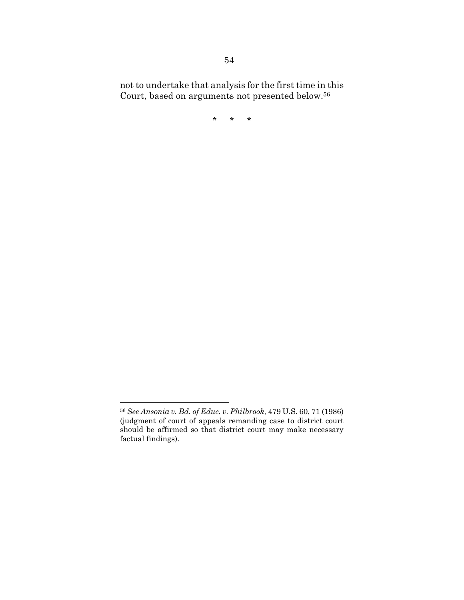not to undertake that analysis for the first time in this Court, based on arguments not presented below. 56

\* \* \*

<span id="page-61-0"></span><sup>56</sup> *See Ansonia v. Bd. of Educ. v. Philbrook,* 479 U.S. 60, 71 (1986) (judgment of court of appeals remanding case to district court should be affirmed so that district court may make necessary factual findings).